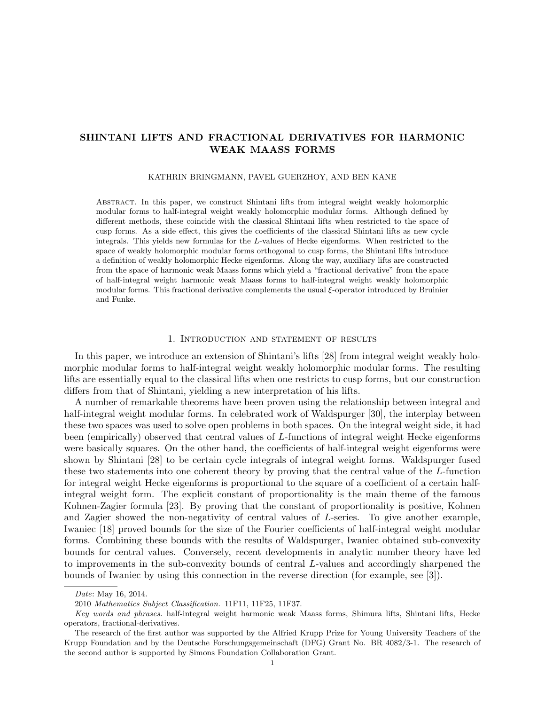# SHINTANI LIFTS AND FRACTIONAL DERIVATIVES FOR HARMONIC WEAK MAASS FORMS

### KATHRIN BRINGMANN, PAVEL GUERZHOY, AND BEN KANE

Abstract. In this paper, we construct Shintani lifts from integral weight weakly holomorphic modular forms to half-integral weight weakly holomorphic modular forms. Although defined by different methods, these coincide with the classical Shintani lifts when restricted to the space of cusp forms. As a side effect, this gives the coefficients of the classical Shintani lifts as new cycle integrals. This yields new formulas for the L-values of Hecke eigenforms. When restricted to the space of weakly holomorphic modular forms orthogonal to cusp forms, the Shintani lifts introduce a definition of weakly holomorphic Hecke eigenforms. Along the way, auxiliary lifts are constructed from the space of harmonic weak Maass forms which yield a "fractional derivative" from the space of half-integral weight harmonic weak Maass forms to half-integral weight weakly holomorphic modular forms. This fractional derivative complements the usual ξ-operator introduced by Bruinier and Funke.

### 1. Introduction and statement of results

In this paper, we introduce an extension of Shintani's lifts [28] from integral weight weakly holomorphic modular forms to half-integral weight weakly holomorphic modular forms. The resulting lifts are essentially equal to the classical lifts when one restricts to cusp forms, but our construction differs from that of Shintani, yielding a new interpretation of his lifts.

A number of remarkable theorems have been proven using the relationship between integral and half-integral weight modular forms. In celebrated work of Waldspurger [30], the interplay between these two spaces was used to solve open problems in both spaces. On the integral weight side, it had been (empirically) observed that central values of L-functions of integral weight Hecke eigenforms were basically squares. On the other hand, the coefficients of half-integral weight eigenforms were shown by Shintani [28] to be certain cycle integrals of integral weight forms. Waldspurger fused these two statements into one coherent theory by proving that the central value of the L-function for integral weight Hecke eigenforms is proportional to the square of a coefficient of a certain halfintegral weight form. The explicit constant of proportionality is the main theme of the famous Kohnen-Zagier formula [23]. By proving that the constant of proportionality is positive, Kohnen and Zagier showed the non-negativity of central values of L-series. To give another example, Iwaniec [18] proved bounds for the size of the Fourier coefficients of half-integral weight modular forms. Combining these bounds with the results of Waldspurger, Iwaniec obtained sub-convexity bounds for central values. Conversely, recent developments in analytic number theory have led to improvements in the sub-convexity bounds of central L-values and accordingly sharpened the bounds of Iwaniec by using this connection in the reverse direction (for example, see [3]).

Date: May 16, 2014.

<sup>2010</sup> Mathematics Subject Classification. 11F11, 11F25, 11F37.

Key words and phrases. half-integral weight harmonic weak Maass forms, Shimura lifts, Shintani lifts, Hecke operators, fractional-derivatives.

The research of the first author was supported by the Alfried Krupp Prize for Young University Teachers of the Krupp Foundation and by the Deutsche Forschungsgemeinschaft (DFG) Grant No. BR 4082/3-1. The research of the second author is supported by Simons Foundation Collaboration Grant.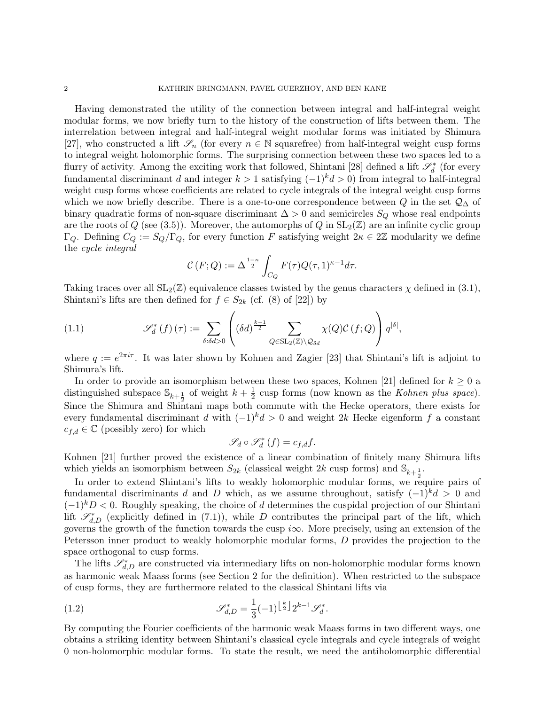Having demonstrated the utility of the connection between integral and half-integral weight modular forms, we now briefly turn to the history of the construction of lifts between them. The interrelation between integral and half-integral weight modular forms was initiated by Shimura [27], who constructed a lift  $\mathscr{S}_n$  (for every  $n \in \mathbb{N}$  squarefree) from half-integral weight cusp forms to integral weight holomorphic forms. The surprising connection between these two spaces led to a flurry of activity. Among the exciting work that followed, Shintani [28] defined a lift  $\mathscr{S}_d^*$  (for every fundamental discriminant d and integer  $k > 1$  satisfying  $(-1)^k d > 0$  from integral to half-integral weight cusp forms whose coefficients are related to cycle integrals of the integral weight cusp forms which we now briefly describe. There is a one-to-one correspondence between Q in the set  $\mathcal{Q}_\Delta$  of binary quadratic forms of non-square discriminant  $\Delta > 0$  and semicircles  $S_Q$  whose real endpoints are the roots of Q (see (3.5)). Moreover, the automorphs of Q in  $SL_2(\mathbb{Z})$  are an infinite cyclic group  $\Gamma_Q$ . Defining  $C_Q := S_Q/\Gamma_Q$ , for every function F satisfying weight  $2\kappa \in 2\mathbb{Z}$  modularity we define the cycle integral

$$
\mathcal{C}(F;Q) := \Delta^{\frac{1-\kappa}{2}} \int_{C_Q} F(\tau) Q(\tau,1)^{\kappa-1} d\tau.
$$

Taking traces over all  $SL_2(\mathbb{Z})$  equivalence classes twisted by the genus characters  $\chi$  defined in (3.1), Shintani's lifts are then defined for  $f \in S_{2k}$  (cf. (8) of [22]) by

(1.1) 
$$
\mathscr{S}_d^*(f)(\tau) := \sum_{\delta: \delta d > 0} \left( (\delta d)^{\frac{k-1}{2}} \sum_{Q \in SL_2(\mathbb{Z}) \backslash \mathcal{Q}_{\delta d}} \chi(Q) \mathcal{C}(f; Q) \right) q^{|\delta|},
$$

where  $q := e^{2\pi i \tau}$ . It was later shown by Kohnen and Zagier [23] that Shintani's lift is adjoint to Shimura's lift.

In order to provide an isomorphism between these two spaces, Kohnen [21] defined for  $k \geq 0$  a distinguished subspace  $\mathbb{S}_{k+\frac{1}{2}}$  of weight  $k+\frac{1}{2}$  $\frac{1}{2}$  cusp forms (now known as the *Kohnen plus space*). Since the Shimura and Shintani maps both commute with the Hecke operators, there exists for every fundamental discriminant d with  $(-1)^k d > 0$  and weight 2k Hecke eigenform f a constant  $c_{f,d} \in \mathbb{C}$  (possibly zero) for which

$$
\mathscr{S}_{d}\circ\mathscr{S}_{d}^{\ast}\left( f\right) =c_{f,d}f.
$$

Kohnen [21] further proved the existence of a linear combination of finitely many Shimura lifts which yields an isomorphism between  $S_{2k}$  (classical weight 2k cusp forms) and  $\mathbb{S}_{k+\frac{1}{2}}$ .

In order to extend Shintani's lifts to weakly holomorphic modular forms, we require pairs of fundamental discriminants d and D which, as we assume throughout, satisfy  $(-1)^{k}d > 0$  and  $(-1)^k D < 0$ . Roughly speaking, the choice of d determines the cuspidal projection of our Shintani lift  $\mathscr{S}_{d,D}^*$  (explicitly defined in (7.1)), while D contributes the principal part of the lift, which governs the growth of the function towards the cusp  $i\infty$ . More precisely, using an extension of the Petersson inner product to weakly holomorphic modular forms, D provides the projection to the space orthogonal to cusp forms.

The lifts  $\mathscr{S}^*_{d,D}$  are constructed via intermediary lifts on non-holomorphic modular forms known as harmonic weak Maass forms (see Section 2 for the definition). When restricted to the subspace of cusp forms, they are furthermore related to the classical Shintani lifts via

(1.2) 
$$
\mathscr{S}_{d,D}^* = \frac{1}{3}(-1)^{\left\lfloor \frac{k}{2} \right\rfloor} 2^{k-1} \mathscr{S}_d^*.
$$

By computing the Fourier coefficients of the harmonic weak Maass forms in two different ways, one obtains a striking identity between Shintani's classical cycle integrals and cycle integrals of weight 0 non-holomorphic modular forms. To state the result, we need the antiholomorphic differential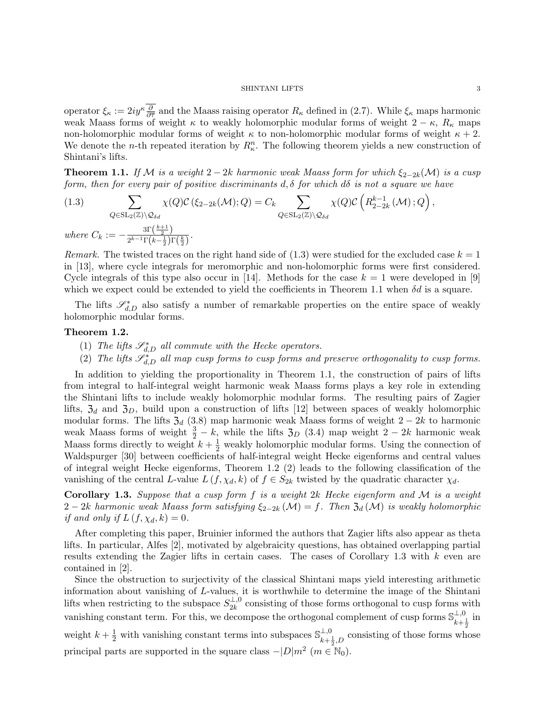operator  $\xi_{\kappa} := 2iy^{\kappa} \frac{\partial}{\partial \overline{\tau}}$  and the Maass raising operator  $R_{\kappa}$  defined in (2.7). While  $\xi_{\kappa}$  maps harmonic weak Maass forms of weight  $\kappa$  to weakly holomorphic modular forms of weight 2 −  $\kappa$ , R<sub> $\kappa$ </sub> maps non-holomorphic modular forms of weight  $\kappa$  to non-holomorphic modular forms of weight  $\kappa + 2$ . We denote the *n*-th repeated iteration by  $R_{\kappa}^n$ . The following theorem yields a new construction of Shintani's lifts.

**Theorem 1.1.** If M is a weight 2 – 2k harmonic weak Maass form for which  $\xi_{2-2k}(\mathcal{M})$  is a cusp form, then for every pair of positive discriminants d,  $\delta$  for which d $\delta$  is not a square we have

(1.3) 
$$
\sum_{Q \in SL_2(\mathbb{Z}) \backslash \mathcal{Q}_{\delta d}} \chi(Q) \mathcal{C} \left( \xi_{2-2k}(\mathcal{M}); Q \right) = C_k \sum_{Q \in SL_2(\mathbb{Z}) \backslash \mathcal{Q}_{\delta d}} \chi(Q) \mathcal{C} \left( R_{2-2k}^{k-1}(\mathcal{M}); Q \right),
$$
  
where  $C_k := -\frac{\text{3}\Gamma(\frac{k+1}{2})}{2^{k-1}\Gamma(k-\frac{1}{2})\Gamma(\frac{k}{2})}.$ 

Remark. The twisted traces on the right hand side of  $(1.3)$  were studied for the excluded case  $k = 1$ in [13], where cycle integrals for meromorphic and non-holomorphic forms were first considered. Cycle integrals of this type also occur in [14]. Methods for the case  $k = 1$  were developed in [9] which we expect could be extended to yield the coefficients in Theorem 1.1 when  $\delta d$  is a square.

The lifts  $\mathscr{S}_{d,D}^*$  also satisfy a number of remarkable properties on the entire space of weakly holomorphic modular forms.

## Theorem 1.2.

- (1) The lifts  $\mathscr{S}_{d,D}^*$  all commute with the Hecke operators.
- (2) The lifts  $\mathscr{S}^*_{d,D}$  all map cusp forms to cusp forms and preserve orthogonality to cusp forms.

In addition to yielding the proportionality in Theorem 1.1, the construction of pairs of lifts from integral to half-integral weight harmonic weak Maass forms plays a key role in extending the Shintani lifts to include weakly holomorphic modular forms. The resulting pairs of Zagier lifts,  $\mathfrak{Z}_d$  and  $\mathfrak{Z}_D$ , build upon a construction of lifts [12] between spaces of weakly holomorphic modular forms. The lifts  $\mathfrak{Z}_d$  (3.8) map harmonic weak Maass forms of weight 2 – 2k to harmonic weak Maass forms of weight  $\frac{3}{2} - k$ , while the lifts  $\mathfrak{Z}_D$  (3.4) map weight 2 – 2k harmonic weak Maass forms directly to weight  $k + \frac{1}{2}$  weakly holomorphic modular forms. Using the connection of Waldspurger [30] between coefficients of half-integral weight Hecke eigenforms and central values of integral weight Hecke eigenforms, Theorem 1.2 (2) leads to the following classification of the vanishing of the central L-value  $L(f, \chi_d, k)$  of  $f \in S_{2k}$  twisted by the quadratic character  $\chi_d$ .

Corollary 1.3. Suppose that a cusp form  $f$  is a weight  $2k$  Hecke eigenform and  $M$  is a weight 2 − 2k harmonic weak Maass form satisfying  $\xi_{2-2k}(\mathcal{M}) = f$ . Then  $\mathfrak{Z}_d(\mathcal{M})$  is weakly holomorphic if and only if  $L(f, \chi_d, k) = 0$ .

After completing this paper, Bruinier informed the authors that Zagier lifts also appear as theta lifts. In particular, Alfes [2], motivated by algebraicity questions, has obtained overlapping partial results extending the Zagier lifts in certain cases. The cases of Corollary 1.3 with k even are contained in [2].

Since the obstruction to surjectivity of the classical Shintani maps yield interesting arithmetic information about vanishing of L-values, it is worthwhile to determine the image of the Shintani lifts when restricting to the subspace  $S_{2k}^{\perp,0}$  $2k^{\pm,0}$  consisting of those forms orthogonal to cusp forms with vanishing constant term. For this, we decompose the orthogonal complement of cusp forms  $\mathbb{S}_{\mu}^{\perp,0}$  $_{k+\frac{1}{2}}^{\perp,0}$  in weight  $k + \frac{1}{2}$  with vanishing constant terms into subspaces  $\mathbb{S}_{k+\frac{1}{2},D}^{\perp,0}$  consisting of those forms where  $\lim_{k+\frac{1}{2},D}$  consisting of those forms whose principal parts are supported in the square class  $-|D|m^2$  ( $m \in \mathbb{N}_0$ ).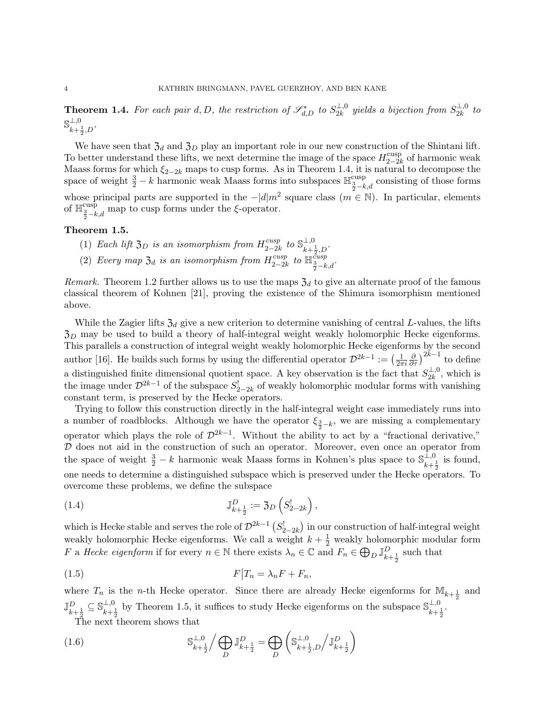**Theorem 1.4.** For each pair d, D, the restriction of  $\mathscr{S}_{d,D}^*$  to  $S_{2k}^{\perp,0}$  $\frac{\perp,0}{2k}$  yields a bijection from  $S_{2k}^{\perp,0}$  $\frac{1}{2k}$ <sup>to</sup>  $\mathbb{S}^{\perp,0}$  $\mu+ \frac{1}{2}$ , D<sup>.</sup>

We have seen that  $\mathfrak{Z}_d$  and  $\mathfrak{Z}_D$  play an important role in our new construction of the Shintani lift. To better understand these lifts, we next determine the image of the space  $H_{2-2l}^{\text{cusp}}$  $_{2-2k}^{\text{cusp}}$  of harmonic weak Maass forms for which  $\xi_{2-2k}$  maps to cusp forms. As in Theorem 1.4, it is natural to decompose the space of weight  $\frac{3}{2} - k$  harmonic weak Maass forms into subspaces  $\mathbb{H}^{\text{cusp}}_{\frac{3}{2} - k,d}$  consisting of those forms whose principal parts are supported in the  $-|d|m^2$  square class  $(m \in \mathbb{N})$ . In particular, elements of  $\mathbb{H}_{\frac{3}{2}-k,d}^{\text{cusp}}$  map to cusp forms under the  $\xi$ -operator.

## Theorem 1.5.

- (1) Each lift  $\mathfrak{Z}_D$  is an isomorphism from  $H_{2-2l}^{cusp}$  $\frac{cusp}{2-2k}$  to  $\mathbb{S}_{k+1}^{\perp,0}$  $\mu + \frac{1}{2} D$ .
- (2) Every map  $\mathfrak{Z}_d$  is an isomorphism from  $H_{2-2l}^{cusp}$  $\lim_{2-2k}$  to  $\mathbb{H}^{\text{cusp}}_{\frac{3}{2}-k,d}$ .

*Remark.* Theorem 1.2 further allows us to use the maps  $\mathfrak{Z}_d$  to give an alternate proof of the famous classical theorem of Kohnen [21], proving the existence of the Shimura isomorphism mentioned above.

While the Zagier lifts  $\mathfrak{Z}_d$  give a new criterion to determine vanishing of central L-values, the lifts  $\mathfrak{Z}_D$  may be used to build a theory of half-integral weight weakly holomorphic Hecke eigenforms. This parallels a construction of integral weight weakly holomorphic Hecke eigenforms by the second author [16]. He builds such forms by using the differential operator  $\mathcal{D}^{2k-1} := \left(\frac{1}{2\pi}\right)^{k-1}$  $\overline{2\pi i}$  $\frac{\partial}{\partial \tau}$ )<sup>2k-1</sup> to define a distinguished finite dimensional quotient space. A key observation is the fact that  $S_{2k}^{\perp,0}$  $\frac{1}{2k}$ <sup>0</sup>, which is the image under  $\mathcal{D}^{2k-1}$  of the subspace  $S^!_{2-2k}$  of weakly holomorphic modular forms with vanishing constant term, is preserved by the Hecke operators.

Trying to follow this construction directly in the half-integral weight case immediately runs into a number of roadblocks. Although we have the operator  $\xi_{\frac{3}{2}-k}$ , we are missing a complementary operator which plays the role of  $\mathcal{D}^{2k-1}$ . Without the ability to act by a "fractional derivative,"  $D$  does not aid in the construction of such an operator. Moreover, even once an operator from the space of weight  $\frac{3}{2} - k$  harmonic weak Maass forms in Kohnen's plus space to  $\mathbb{S}_{k+1}^{\mathbb{L},0}$  $\frac{1}{k+\frac{1}{2}}$  is found, one needs to determine a distinguished subspace which is preserved under the Hecke operators. To overcome these problems, we define the subspace

(1.4) 
$$
\mathbb{J}_{k+\frac{1}{2}}^D := \mathfrak{Z}_D \left( S_{2-2k}^! \right),
$$

which is Hecke stable and serves the role of  $\mathcal{D}^{2k-1}(S^!_{2-2k})$  in our construction of half-integral weight weakly holomorphic Hecke eigenforms. We call a weight  $k + \frac{1}{2}$  weakly holomorphic modular form F a Hecke eigenform if for every  $n \in \mathbb{N}$  there exists  $\lambda_n \in \mathbb{C}$  and  $F_n \in \bigoplus_D \mathbb{J}_{k+\frac{1}{2}}^D$  such that 2

$$
F|T_n = \lambda_n F + F_n,
$$

where  $T_n$  is the *n*-th Hecke operator. Since there are already Hecke eigenforms for  $\mathbb{M}_{k+\frac{1}{2}}$  and  $\mathbb{J}_{k+\frac{1}{2}}^{D}\subseteq\mathbb{S}_{k+\frac{1}{2}}^{\perp,0}$  $\frac{\perp, 0}{k+\frac{1}{2}}$  by Theorem 1.5, it suffices to study Hecke eigenforms on the subspace  $\mathbb{S}_{k+\frac{1}{2}}^{\perp, 0}$  $\frac{1}{k+\frac{1}{2}}$ . The next theorem shows that

 $\setminus$ 

 $(1.6)$ ⊥,0  $k+\frac{1}{2}$  $\overline{A}$ D  $\mathbb{J}_{k+\frac{1}{2}}^{D}=\bigoplus_{\mathbb{R}}% \mathbb{J}_{k+\frac{1}{2}}^{(n)}(\mathbb{R}_{n})_{\mathbb{Z}}\text{.}%$ D  $\int \mathbb{S}^{\perp,0}$  $\frac{1}{k+\frac{1}{2},D}$   $\int \mathbb{J}_{k+\frac{1}{2}}^{D}$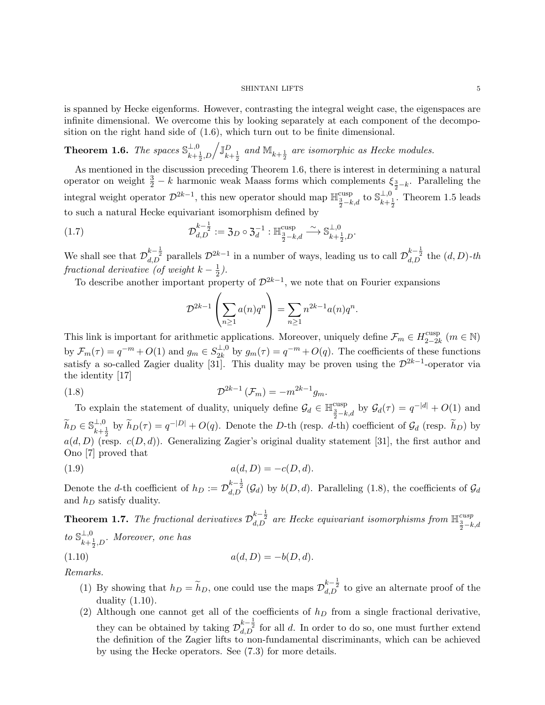is spanned by Hecke eigenforms. However, contrasting the integral weight case, the eigenspaces are infinite dimensional. We overcome this by looking separately at each component of the decomposition on the right hand side of (1.6), which turn out to be finite dimensional.

**Theorem 1.6.** The spaces  $\mathbb{S}_{\mu}^{\perp,0}$  $\frac{\perp,0}{k+\frac{1}{2},D}/\mathbb{J}_{k+\frac{1}{2}}^D$  and  $\mathbb{M}_{k+\frac{1}{2}}$  are isomorphic as Hecke modules.

As mentioned in the discussion preceding Theorem 1.6, there is interest in determining a natural operator on weight  $\frac{3}{2} - k$  harmonic weak Maass forms which complements  $\xi_{\frac{3}{2} - k}$ . Paralleling the integral weight operator  $\mathcal{D}^{2k-1}$ , this new operator should map  $\mathbb{H}^{\text{cusp}}_{\frac{3}{2}-k,d}$  to  $\mathbb{S}_{k+1}^{\perp,0}$  $\frac{1}{k+\frac{1}{2}}$ . Theorem 1.5 leads to such a natural Hecke equivariant isomorphism defined by

(1.7) 
$$
\mathcal{D}_{d,D}^{k-\frac{1}{2}} := \mathfrak{Z}_D \circ \mathfrak{Z}_d^{-1} : \mathbb{H}^{\text{cusp}}_{\frac{3}{2}-k,d} \xrightarrow{\sim} \mathbb{S}_{k+\frac{1}{2},D}^{\perp,0}.
$$

We shall see that  $\mathcal{D}_{d,D}^{k-\frac{1}{2}}$  parallels  $\mathcal{D}^{2k-1}$  in a number of ways, leading us to call  $\mathcal{D}_{d,D}^{k-\frac{1}{2}}$  the  $(d,D)$ -th fractional derivative (of weight  $k-\frac{1}{2}$ ).

To describe another important property of  $\mathcal{D}^{2k-1}$ , we note that on Fourier expansions

$$
\mathcal{D}^{2k-1}\left(\sum_{n\geq 1}a(n)q^n\right)=\sum_{n\geq 1}n^{2k-1}a(n)q^n.
$$

This link is important for arithmetic applications. Moreover, uniquely define  $\mathcal{F}_m \in H_{2-2l}^{\text{cusp}}$ <sup>cusp</sup>  $(m \in \mathbb{N})$ by  $\mathcal{F}_m(\tau) = q^{-m} + O(1)$  and  $g_m \in S_{2k}^{\perp,0}$  $\frac{1}{2k}$  by  $g_m(\tau) = q^{-m} + O(q)$ . The coefficients of these functions satisfy a so-called Zagier duality [31]. This duality may be proven using the  $\mathcal{D}^{2k-1}$ -operator via the identity [17]

(1.8) 
$$
\mathcal{D}^{2k-1}(\mathcal{F}_m) = -m^{2k-1}g_m.
$$

To explain the statement of duality, uniquely define  $\mathcal{G}_d \in \mathbb{H}^{\text{cusp}}_{\frac{3}{2}-k,d}$  by  $\mathcal{G}_d(\tau) = q^{-|d|} + O(1)$  and  $\widetilde{h}_D \in \mathbb{S}_{k+1}^{\perp,0}$  $\tilde{h}_{L}^{(0)}$  by  $\tilde{h}_{D}(\tau) = q^{-|D|} + O(q)$ . Denote the D-th (resp. d-th) coefficient of  $\mathcal{G}_{d}$  (resp.  $\tilde{h}_{D}$ ) by  $a(d, D)$  (resp.  $c(D, d)$ ). Generalizing Zagier's original duality statement [31], the first author and Ono [7] proved that

(1.9) 
$$
a(d, D) = -c(D, d).
$$

Denote the d-th coefficient of  $h_D := \mathcal{D}_{d,D}^{k-\frac{1}{2}}(\mathcal{G}_d)$  by  $b(D,d)$ . Paralleling (1.8), the coefficients of  $\mathcal{G}_d$ and  $h_D$  satisfy duality.

**Theorem 1.7.** The fractional derivatives  $\mathcal{D}_{d,D}^{k-\frac{1}{2}}$  are Hecke equivariant isomorphisms from  $\mathbb{H}^{cusp}_{\frac{3}{2}-k,d}$ to  $\mathbb{S}_{\iota}^{\perp,0}$  $\frac{1}{k+\frac{1}{2},D}$ . Moreover, one has

(1.10) 
$$
a(d, D) = -b(D, d).
$$

Remarks.

- (1) By showing that  $h_D = \tilde{h}_D$ , one could use the maps  $\mathcal{D}_{d,D}^{k-\frac{1}{2}}$  to give an alternate proof of the duality  $(1.10)$ .
- (2) Although one cannot get all of the coefficients of  $h<sub>D</sub>$  from a single fractional derivative, they can be obtained by taking  $\mathcal{D}_{d,D}^{k-\frac{1}{2}}$  for all d. In order to do so, one must further extend the definition of the Zagier lifts to non-fundamental discriminants, which can be achieved by using the Hecke operators. See (7.3) for more details.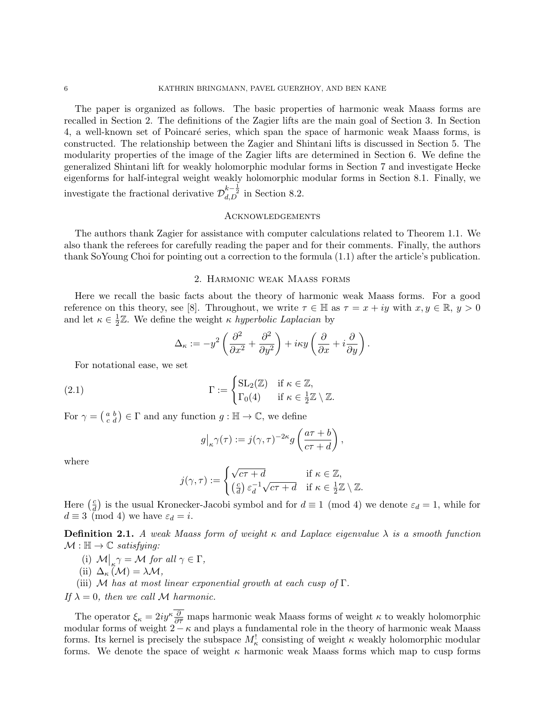The paper is organized as follows. The basic properties of harmonic weak Maass forms are recalled in Section 2. The definitions of the Zagier lifts are the main goal of Section 3. In Section 4, a well-known set of Poincaré series, which span the space of harmonic weak Maass forms, is constructed. The relationship between the Zagier and Shintani lifts is discussed in Section 5. The modularity properties of the image of the Zagier lifts are determined in Section 6. We define the generalized Shintani lift for weakly holomorphic modular forms in Section 7 and investigate Hecke eigenforms for half-integral weight weakly holomorphic modular forms in Section 8.1. Finally, we investigate the fractional derivative  $\mathcal{D}_{d,D}^{k-\frac{1}{2}}$  in Section 8.2.

## **ACKNOWLEDGEMENTS**

The authors thank Zagier for assistance with computer calculations related to Theorem 1.1. We also thank the referees for carefully reading the paper and for their comments. Finally, the authors thank SoYoung Choi for pointing out a correction to the formula (1.1) after the article's publication.

### 2. Harmonic weak Maass forms

Here we recall the basic facts about the theory of harmonic weak Maass forms. For a good reference on this theory, see [8]. Throughout, we write  $\tau \in \mathbb{H}$  as  $\tau = x + iy$  with  $x, y \in \mathbb{R}, y > 0$ and let  $\kappa \in \frac{1}{2}$  $\frac{1}{2}\mathbb{Z}$ . We define the weight  $\kappa$  hyperbolic Laplacian by

$$
\Delta_{\kappa} := -y^2 \left( \frac{\partial^2}{\partial x^2} + \frac{\partial^2}{\partial y^2} \right) + i\kappa y \left( \frac{\partial}{\partial x} + i \frac{\partial}{\partial y} \right).
$$

For notational ease, we set

(2.1) 
$$
\Gamma := \begin{cases} SL_2(\mathbb{Z}) & \text{if } \kappa \in \mathbb{Z}, \\ \Gamma_0(4) & \text{if } \kappa \in \frac{1}{2}\mathbb{Z} \setminus \mathbb{Z}. \end{cases}
$$

For  $\gamma = \begin{pmatrix} a & b \\ c & d \end{pmatrix} \in \Gamma$  and any function  $g : \mathbb{H} \to \mathbb{C}$ , we define

$$
g\big|_{\kappa}\gamma(\tau) := j(\gamma,\tau)^{-2\kappa}g\left(\frac{a\tau+b}{c\tau+d}\right),\,
$$

where

$$
j(\gamma,\tau) := \begin{cases} \sqrt{c\tau + d} & \text{if } \kappa \in \mathbb{Z}, \\ \left(\frac{c}{d}\right) \varepsilon_d^{-1} \sqrt{c\tau + d} & \text{if } \kappa \in \frac{1}{2}\mathbb{Z} \setminus \mathbb{Z}. \end{cases}
$$

Here  $\left(\frac{c}{d}\right)$  $\frac{c}{d}$  is the usual Kronecker-Jacobi symbol and for  $d \equiv 1 \pmod{4}$  we denote  $\varepsilon_d = 1$ , while for  $d \equiv 3 \pmod{4}$  we have  $\varepsilon_d = i$ .

**Definition 2.1.** A weak Maass form of weight  $\kappa$  and Laplace eigenvalue  $\lambda$  is a smooth function  $\mathcal{M} : \mathbb{H} \to \mathbb{C}$  satisfying:

- (i)  $\mathcal{M}\big|_{\kappa} \gamma = \mathcal{M}$  for all  $\gamma \in \Gamma$ ,
- (ii)  $\Delta_{\kappa}(\mathcal{M}) = \lambda \mathcal{M},$
- (iii) M has at most linear exponential growth at each cusp of  $\Gamma$ .

If  $\lambda = 0$ , then we call M harmonic.

The operator  $\xi_{\kappa} = 2iy^{\kappa} \frac{\partial}{\partial \overline{\tau}}$  maps harmonic weak Maass forms of weight  $\kappa$  to weakly holomorphic modular forms of weight  $2 - \kappa$  and plays a fundamental role in the theory of harmonic weak Maass forms. Its kernel is precisely the subspace  $M_{\kappa}^{!}$  consisting of weight  $\kappa$  weakly holomorphic modular forms. We denote the space of weight  $\kappa$  harmonic weak Maass forms which map to cusp forms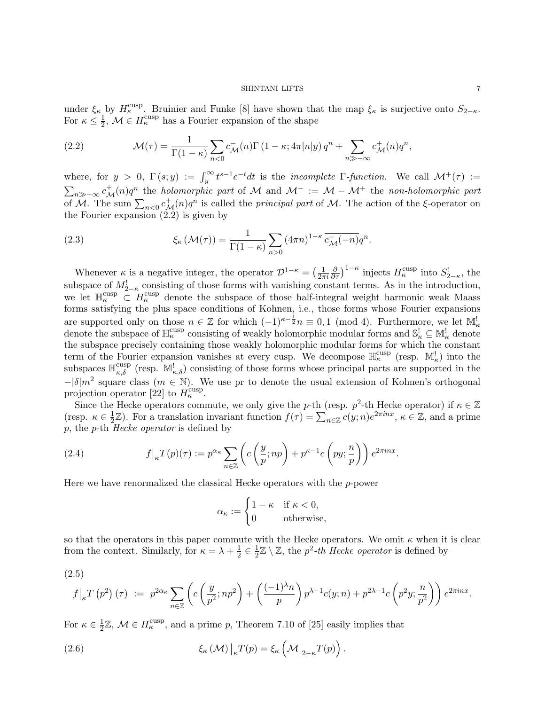under  $\xi_{\kappa}$  by  $H_{\kappa}^{\text{cusp}}$ . Bruinier and Funke [8] have shown that the map  $\xi_{\kappa}$  is surjective onto  $S_{2-\kappa}$ . For  $\kappa \leq \frac{1}{2}$  $\frac{1}{2}$ ,  $\mathcal{M} \in H_{\kappa}^{\text{cusp}}$  has a Fourier expansion of the shape

(2.2) 
$$
\mathcal{M}(\tau) = \frac{1}{\Gamma(1-\kappa)} \sum_{n<0} c_{\mathcal{M}}^{\mathsf{-}}(n) \Gamma(1-\kappa; 4\pi |n|y) q^n + \sum_{n \gg -\infty} c_{\mathcal{M}}^{\mathsf{+}}(n) q^n,
$$

where, for  $y > 0$ ,  $\Gamma(s; y) := \int_y^{\infty} t^{s-1} e^{-t} dt$  is the *incomplete*  $\Gamma$ -function. We call  $\mathcal{M}^+(\tau) :=$  $\sum_{n\gg-\infty}c^+_{\mathcal{M}}(n)q^n$  the holomorphic part of M and  $\mathcal{M}^- := \mathcal{M} - \mathcal{M}^+$  the non-holomorphic part of M. The sum  $\sum_{n<0} c^+_{\mathcal{M}}(n)q^n$  is called the *principal part* of M. The action of the  $\xi$ -operator on the Fourier expansion (2.2) is given by

(2.3) 
$$
\xi_{\kappa}(\mathcal{M}(\tau)) = \frac{1}{\Gamma(1-\kappa)} \sum_{n>0} (4\pi n)^{1-\kappa} \overline{c_{\mathcal{M}}^-(n)} q^n.
$$

Whenever  $\kappa$  is a negative integer, the operator  $\mathcal{D}^{1-\kappa} = \left(\frac{1}{2\pi}\right)$  $\overline{2\pi i}$  $\frac{\partial}{\partial \tau}$ )<sup>1- $\kappa$ </sup> injects  $H_{\kappa}^{\text{cusp}}$  into  $S_{2-\kappa}^{\text{!}}$ , the subspace of  $M^!_{2-\kappa}$  consisting of those forms with vanishing constant terms. As in the introduction, we let  $\mathbb{H}_{\kappa}^{\text{cusp}} \subset H_{\kappa}^{\text{cusp}}$  denote the subspace of those half-integral weight harmonic weak Maass forms satisfying the plus space conditions of Kohnen, i.e., those forms whose Fourier expansions are supported only on those  $n \in \mathbb{Z}$  for which  $(-1)^{\kappa-\frac{1}{2}}n \equiv 0,1 \pmod{4}$ . Furthermore, we let  $\mathbb{M}^!_{\kappa}$ denote the subspace of  $\mathbb{H}^{\text{cusp}}_{\kappa}$  consisting of weakly holomorphic modular forms and  $\mathbb{S}^!_{\kappa} \subseteq \mathbb{M}^!_{\kappa}$  denote the subspace precisely containing those weakly holomorphic modular forms for which the constant term of the Fourier expansion vanishes at every cusp. We decompose  $\mathbb{H}_{\kappa}^{\text{cusp}}$  (resp.  $\mathbb{M}_{\kappa}^{!}$ ) into the subspaces  $\mathbb{H}_{\kappa,\delta}^{\text{cusp}}$  (resp.  $\mathbb{M}_{\kappa,\delta}^{\text{l}}$ ) consisting of those forms whose principal parts are supported in the  $-|\delta|m^2$  square class  $(m \in \mathbb{N})$ . We use pr to denote the usual extension of Kohnen's orthogonal projection operator [22] to  $H_{\kappa}^{\text{cusp}}$ .

Since the Hecke operators commute, we only give the p-th (resp.  $p^2$ -th Hecke operator) if  $\kappa \in \mathbb{Z}$ (resp.  $\kappa \in \frac{1}{2}$  $\frac{1}{2}\mathbb{Z}$ ). For a translation invariant function  $f(\tau) = \sum_{n \in \mathbb{Z}} c(y; n) e^{2\pi i n x}, \kappa \in \mathbb{Z}$ , and a prime p, the p-th Hecke operator is defined by

(2.4) 
$$
f\big|_{\kappa} T(p)(\tau) := p^{\alpha_{\kappa}} \sum_{n \in \mathbb{Z}} \left( c\left(\frac{y}{p}; np\right) + p^{\kappa - 1} c\left(py; \frac{n}{p}\right) \right) e^{2\pi i n x}.
$$

Here we have renormalized the classical Hecke operators with the  $p$ -power

$$
\alpha_{\kappa} := \begin{cases} 1 - \kappa & \text{if } \kappa < 0, \\ 0 & \text{otherwise,} \end{cases}
$$

so that the operators in this paper commute with the Hecke operators. We omit  $\kappa$  when it is clear from the context. Similarly, for  $\kappa = \lambda + \frac{1}{2}$  $\frac{1}{2} \in \frac{1}{2}$  $\frac{1}{2}\mathbb{Z}\setminus\mathbb{Z}$ , the  $p^2$ -th Hecke operator is defined by

$$
(2.5)
$$

$$
f|_{\kappa} T(p^2) (\tau) := p^{2\alpha_{\kappa}} \sum_{n \in \mathbb{Z}} \left( c \left( \frac{y}{p^2}; np^2 \right) + \left( \frac{(-1)^{\lambda} n}{p} \right) p^{\lambda - 1} c(y; n) + p^{2\lambda - 1} c \left( p^2 y; \frac{n}{p^2} \right) \right) e^{2\pi i n x}.
$$

For  $\kappa \in \frac{1}{2}$  $\frac{1}{2}\mathbb{Z}, \mathcal{M} \in H_{\kappa}^{\text{cusp}}$ , and a prime p, Theorem 7.10 of [25] easily implies that

(2.6) 
$$
\xi_{\kappa}(\mathcal{M})|_{\kappa}T(p) = \xi_{\kappa}\left(\mathcal{M}|_{2-\kappa}T(p)\right).
$$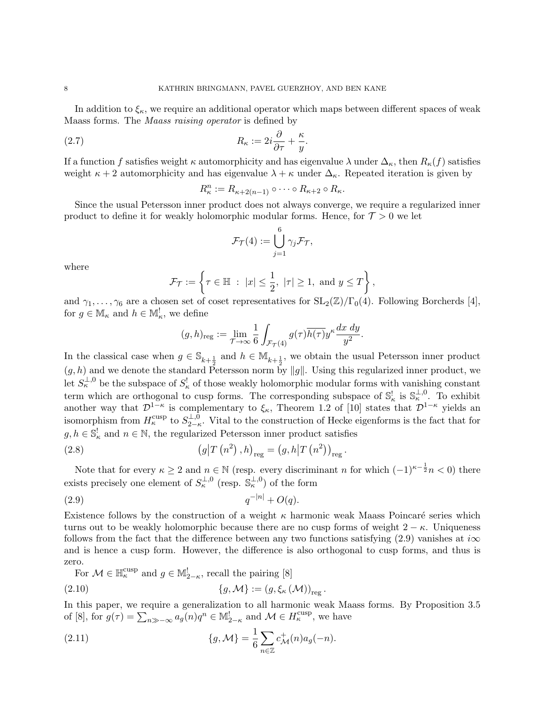In addition to  $\xi_{\kappa}$ , we require an additional operator which maps between different spaces of weak Maass forms. The Maass raising operator is defined by

(2.7) 
$$
R_{\kappa} := 2i\frac{\partial}{\partial \tau} + \frac{\kappa}{y}.
$$

If a function f satisfies weight  $\kappa$  automorphicity and has eigenvalue  $\lambda$  under  $\Delta_{\kappa}$ , then  $R_{\kappa}(f)$  satisfies weight  $\kappa + 2$  automorphicity and has eigenvalue  $\lambda + \kappa$  under  $\Delta_{\kappa}$ . Repeated iteration is given by

$$
R_{\kappa}^n := R_{\kappa+2(n-1)} \circ \cdots \circ R_{\kappa+2} \circ R_{\kappa}.
$$

Since the usual Petersson inner product does not always converge, we require a regularized inner product to define it for weakly holomorphic modular forms. Hence, for  $\mathcal{T} > 0$  we let

$$
\mathcal{F}_{\mathcal{T}}(4) := \bigcup_{j=1}^{6} \gamma_{j} \mathcal{F}_{\mathcal{T}},
$$

where

$$
\mathcal{F}_{\mathcal{T}} := \left\{ \tau \in \mathbb{H} \ : \ |x| \leq \frac{1}{2}, \ |\tau| \geq 1, \text{ and } y \leq T \right\},\
$$

and  $\gamma_1, \ldots, \gamma_6$  are a chosen set of coset representatives for  $SL_2(\mathbb{Z})/\Gamma_0(4)$ . Following Borcherds [4], for  $g \in \mathbb{M}_{\kappa}$  and  $h \in \mathbb{M}_{\kappa}^!$ , we define

$$
(g,h)_{\text{reg}} := \lim_{\mathcal{T}\to\infty} \frac{1}{6} \int_{\mathcal{F}_{\mathcal{T}}(4)} g(\tau) \overline{h(\tau)} y^{\kappa} \frac{dx \, dy}{y^2}.
$$

In the classical case when  $g \in \mathbb{S}_{k+\frac{1}{2}}$  and  $h \in \mathbb{M}_{k+\frac{1}{2}}$ , we obtain the usual Petersson inner product  $(g, h)$  and we denote the standard Petersson norm by ||g||. Using this regularized inner product, we Let  $S_{\kappa}^{\perp,0}$  be the subspace of  $S_{\kappa}^{!}$  of those weakly holomorphic modular forms with vanishing constant term which are orthogonal to cusp forms. The corresponding subspace of  $\mathbb{S}_{\kappa}^!$  is  $\mathbb{S}_{\kappa}^{\perp,0}$ . To exhibit another way that  $\mathcal{D}^{1-\kappa}$  is complementary to  $\xi_{\kappa}$ , Theorem 1.2 of [10] states that  $\mathcal{D}^{1-\kappa}$  yields an isomorphism from  $H_\kappa^{\text{cusp}}$  to  $S_{2-\kappa}^{\perp,0}$  $\frac{1}{2-\kappa}$ . Vital to the construction of Hecke eigenforms is the fact that for  $g, h \in \mathbb{S}_{\kappa}^!$  and  $n \in \mathbb{N}$ , the regularized Petersson inner product satisfies

(2.8) 
$$
(g|T (n^{2}), h)_{reg} = (g, h|T (n^{2}))_{reg}.
$$

Note that for every  $\kappa \geq 2$  and  $n \in \mathbb{N}$  (resp. every discriminant n for which  $(-1)^{\kappa - \frac{1}{2}}n < 0$ ) there exists precisely one element of  $S_{\kappa}^{\perp,0}$  (resp.  $\mathbb{S}_{\kappa}^{\perp,0}$ ) of the form

(2.9) 
$$
q^{-|n|} + O(q).
$$

Existence follows by the construction of a weight  $\kappa$  harmonic weak Maass Poincaré series which turns out to be weakly holomorphic because there are no cusp forms of weight  $2 - \kappa$ . Uniqueness follows from the fact that the difference between any two functions satisfying (2.9) vanishes at  $i\infty$ and is hence a cusp form. However, the difference is also orthogonal to cusp forms, and thus is zero.

For  $\mathcal{M} \in \mathbb{H}^{\text{cusp}}_{\kappa}$  and  $g \in \mathbb{M}^!_{2-\kappa}$ , recall the pairing [8]

$$
(2.10) \t\t\t \{g, \mathcal{M}\} := (g, \xi_{\kappa}(\mathcal{M}))_{\text{reg}}.
$$

In this paper, we require a generalization to all harmonic weak Maass forms. By Proposition 3.5 of [8], for  $g(\tau) = \sum_{n \gg -\infty} a_n(n)q^n \in M_{2-\kappa}^!$  and  $\mathcal{M} \in H_{\kappa}^{\text{cusp}}$ , we have

(2.11) 
$$
\{g, \mathcal{M}\} = \frac{1}{6} \sum_{n \in \mathbb{Z}} c_{\mathcal{M}}^{+}(n) a_{g}(-n).
$$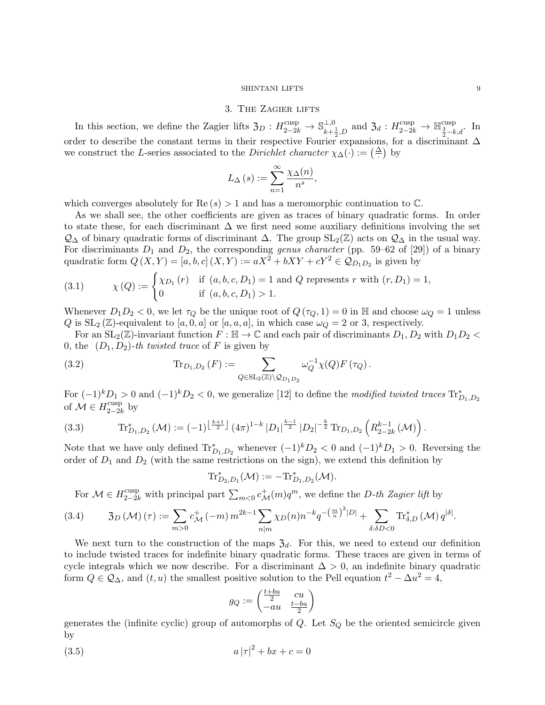### 3. The Zagier lifts

In this section, we define the Zagier lifts  $\mathfrak{Z}_D : H^{\text{cusp}}_{2-2k} \to \mathbb{S}_{k+1}^{\perp,0}$  $\frac{\perp,0}{k+\frac{1}{2},D}$  and  $\mathfrak{Z}_d: H^{\text{cusp}}_{2-2k}$  →  $\mathbb{H}^{\text{cusp}}_{\frac{3}{2}-k,d}$ . In order to describe the constant terms in their respective Fourier expansions, for a discriminant  $\Delta$ we construct the L-series associated to the *Dirichlet character*  $\chi_{\Delta}(\cdot) := \left(\frac{\Delta}{\cdot}\right)$  by

$$
L_{\Delta}(s) := \sum_{n=1}^{\infty} \frac{\chi_{\Delta}(n)}{n^s},
$$

which converges absolutely for  $\text{Re}(s) > 1$  and has a meromorphic continuation to  $\mathbb{C}$ .

As we shall see, the other coefficients are given as traces of binary quadratic forms. In order to state these, for each discriminant  $\Delta$  we first need some auxiliary definitions involving the set  $\mathcal{Q}_\Delta$  of binary quadratic forms of discriminant  $\Delta$ . The group SL<sub>2</sub>( $\mathbb{Z}$ ) acts on  $\mathcal{Q}_\Delta$  in the usual way. For discriminants  $D_1$  and  $D_2$ , the corresponding *genus character* (pp. 59–62 of [29]) of a binary quadratic form  $Q(X, Y) = [a, b, c] (X, Y) := aX^2 + bXY + cY^2 \in \mathcal{Q}_{D_1D_2}$  is given by

(3.1) 
$$
\chi(Q) := \begin{cases} \chi_{D_1}(r) & \text{if } (a, b, c, D_1) = 1 \text{ and } Q \text{ represents } r \text{ with } (r, D_1) = 1, \\ 0 & \text{if } (a, b, c, D_1) > 1. \end{cases}
$$

Whenever  $D_1D_2 < 0$ , we let  $\tau_Q$  be the unique root of  $Q(\tau_Q, 1) = 0$  in H and choose  $\omega_Q = 1$  unless Q is  $SL_2(\mathbb{Z})$ -equivalent to [a, 0, a] or [a, a, a], in which case  $\omega_Q = 2$  or 3, respectively.

For an  $SL_2(\mathbb{Z})$ -invariant function  $F : \mathbb{H} \to \mathbb{C}$  and each pair of discriminants  $D_1, D_2$  with  $D_1D_2 <$ 0, the  $(D_1, D_2)$ -th twisted trace of F is given by

(3.2) 
$$
\text{Tr}_{D_1, D_2}(F) := \sum_{Q \in SL_2(\mathbb{Z}) \backslash Q_{D_1 D_2}} \omega_Q^{-1} \chi(Q) F(\tau_Q).
$$

For  $(-1)^k D_1 > 0$  and  $(-1)^k D_2 < 0$ , we generalize [12] to define the modified twisted traces  $\text{Tr}_{D_1,D_2}^*$ of  $\mathcal{M} \in H_{2-2l}^{\text{cusp}}$  $_{2-2k}^{\text{cusp}}$  by

(3.3) 
$$
\operatorname{Tr}_{D_1,D_2}^*(\mathcal{M}) := (-1)^{\left\lfloor \frac{k+1}{2} \right\rfloor} (4\pi)^{1-k} |D_1|^{\frac{k-1}{2}} |D_2|^{-\frac{k}{2}} \operatorname{Tr}_{D_1,D_2} \left( R_{2-2k}^{k-1}(\mathcal{M}) \right).
$$

Note that we have only defined  $\text{Tr}_{D_1,D_2}^*$  whenever  $(-1)^k D_2 < 0$  and  $(-1)^k D_1 > 0$ . Reversing the order of  $D_1$  and  $D_2$  (with the same restrictions on the sign), we extend this definition by

$$
\mathrm{Tr}^*_{D_2,D_1}(\mathcal{M}):=-\mathrm{Tr}^*_{D_1,D_2}(\mathcal{M}).
$$

For  $\mathcal{M} \in H_{2-2k}^{\text{cusp}}$  with principal part  $\sum_{m<0} c_{\mathcal{M}}^+(m)q^m$ , we define the D-th Zagier lift by

$$
(3.4) \t 3_D(\mathcal{M})(\tau) := \sum_{m>0} c_{\mathcal{M}}^+(-m) m^{2k-1} \sum_{n|m} \chi_D(n) n^{-k} q^{-\left(\frac{m}{n}\right)^2|D|} + \sum_{\delta:\delta D < 0} \text{Tr}_{\delta,D}^*(\mathcal{M}) q^{|\delta|}.
$$

We next turn to the construction of the maps  $\mathfrak{Z}_d$ . For this, we need to extend our definition to include twisted traces for indefinite binary quadratic forms. These traces are given in terms of cycle integrals which we now describe. For a discriminant  $\Delta > 0$ , an indefinite binary quadratic form  $Q \in \mathcal{Q}_{\Delta}$ , and  $(t, u)$  the smallest positive solution to the Pell equation  $t^2 - \Delta u^2 = 4$ ,

$$
g_Q := \begin{pmatrix} \frac{t+bu}{2} & cu \\ -au & \frac{t-bu}{2} \end{pmatrix}
$$

generates the (infinite cyclic) group of automorphs of  $Q$ . Let  $S_Q$  be the oriented semicircle given by

(3.5) 
$$
a |\tau|^2 + bx + c = 0
$$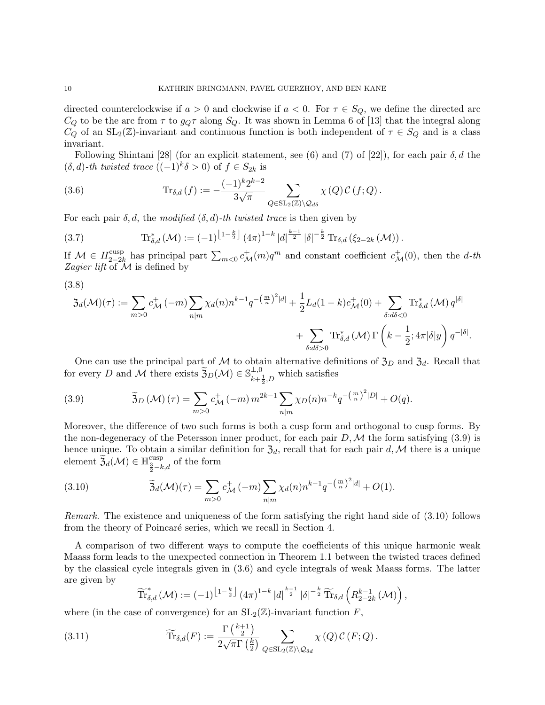directed counterclockwise if  $a > 0$  and clockwise if  $a < 0$ . For  $\tau \in S_Q$ , we define the directed arc  $C_Q$  to be the arc from  $\tau$  to  $g_Q\tau$  along  $S_Q$ . It was shown in Lemma 6 of [13] that the integral along  $C_Q$  of an  $SL_2(\mathbb{Z})$ -invariant and continuous function is both independent of  $\tau \in S_Q$  and is a class invariant.

Following Shintani [28] (for an explicit statement, see (6) and (7) of [22]), for each pair  $\delta, d$  the  $(\delta, d)$ -th twisted trace  $((-1)^k \delta > 0)$  of  $f \in S_{2k}$  is

(3.6) 
$$
\operatorname{Tr}_{\delta,d}(f) := -\frac{(-1)^k 2^{k-2}}{3\sqrt{\pi}} \sum_{Q \in SL_2(\mathbb{Z}) \backslash \mathcal{Q}_{d\delta}} \chi(Q) C(f;Q).
$$

For each pair  $\delta, d$ , the modified  $(\delta, d)$ -th twisted trace is then given by

(3.7) 
$$
\operatorname{Tr}^*_{\delta,d}(\mathcal{M}) := (-1)^{\left\lfloor 1 - \frac{k}{2} \right\rfloor} (4\pi)^{1-k} |d|^\frac{k-1}{2} |\delta|^{-\frac{k}{2}} \operatorname{Tr}_{\delta,d}(\xi_{2-2k}(\mathcal{M})).
$$

If  $\mathcal{M} \in H_{2-2l}^{\text{cusp}}$ <sup>cusp</sup> has principal part  $\sum_{m<0} c^+_{\mathcal{M}}(m)q^m$  and constant coefficient  $c^+_{\mathcal{M}}(0)$ , then the d-th Zagier lift of  $M$  is defined by

$$
(3.8)
$$

$$
3_d(\mathcal{M})(\tau) := \sum_{m>0} c_{\mathcal{M}}^+(-m) \sum_{n|m} \chi_d(n) n^{k-1} q^{-\left(\frac{m}{n}\right)^2 |d|} + \frac{1}{2} L_d(1-k) c_{\mathcal{M}}^+(0) + \sum_{\delta: d\delta < 0} \text{Tr}_{\delta, d}^*(\mathcal{M}) q^{|\delta|} + \sum_{\delta: d\delta > 0} \text{Tr}_{\delta, d}^*(\mathcal{M}) \Gamma\left(k - \frac{1}{2}; 4\pi |\delta|y\right) q^{-|\delta|}.
$$

One can use the principal part of M to obtain alternative definitions of  $\mathfrak{Z}_D$  and  $\mathfrak{Z}_d$ . Recall that for every D and M there exists  $\widetilde{\mathfrak{Z}}_D(\mathcal{M}) \in \mathbb{S}_{k+1}^{\perp,0}$  $\lim_{k+\frac{1}{2},D}$  which satisfies

(3.9) 
$$
\widetilde{\mathfrak{Z}}_D(\mathcal{M})\,(\tau) = \sum_{m>0} c^+_{\mathcal{M}}\,(-m)\,m^{2k-1} \sum_{n|m} \chi_D(n) n^{-k} q^{-\left(\frac{m}{n}\right)^2|D|} + O(q).
$$

Moreover, the difference of two such forms is both a cusp form and orthogonal to cusp forms. By the non-degeneracy of the Petersson inner product, for each pair  $D, \mathcal{M}$  the form satisfying (3.9) is hence unique. To obtain a similar definition for  $\mathfrak{Z}_d$ , recall that for each pair d, M there is a unique element  $\widetilde{\mathfrak{Z}}_d(\mathcal{M}) \in \mathbb{H}^{\text{cusp}}_{\frac{3}{2}-k,d}$  of the form

(3.10) 
$$
\widetilde{\mathfrak{Z}}_d(\mathcal{M})(\tau) = \sum_{m>0} c_{\mathcal{M}}^+(-m) \sum_{n|m} \chi_d(n) n^{k-1} q^{-\left(\frac{m}{n}\right)^2 |d|} + O(1).
$$

Remark. The existence and uniqueness of the form satisfying the right hand side of (3.10) follows from the theory of Poincaré series, which we recall in Section 4.

A comparison of two different ways to compute the coefficients of this unique harmonic weak Maass form leads to the unexpected connection in Theorem 1.1 between the twisted traces defined by the classical cycle integrals given in (3.6) and cycle integrals of weak Maass forms. The latter are given by

$$
\widetilde{\text{Tr}}_{\delta,d}^*\left(\mathcal{M}\right) := (-1)^{\left\lfloor 1 - \frac{k}{2} \right\rfloor} (4\pi)^{1-k} |d|^{\frac{k-1}{2}} |\delta|^{-\frac{k}{2}} \widetilde{\text{Tr}}_{\delta,d}\left(R_{2-2k}^{k-1}\left(\mathcal{M}\right)\right),
$$

where (in the case of convergence) for an  $SL_2(\mathbb{Z})$ -invariant function F,

(3.11) 
$$
\widetilde{\text{Tr}}_{\delta,d}(F) := \frac{\Gamma\left(\frac{k+1}{2}\right)}{2\sqrt{\pi}\Gamma\left(\frac{k}{2}\right)} \sum_{Q \in \text{SL}_2(\mathbb{Z}) \backslash \mathcal{Q}_{\delta d}} \chi\left(Q\right) \mathcal{C}\left(F;Q\right).
$$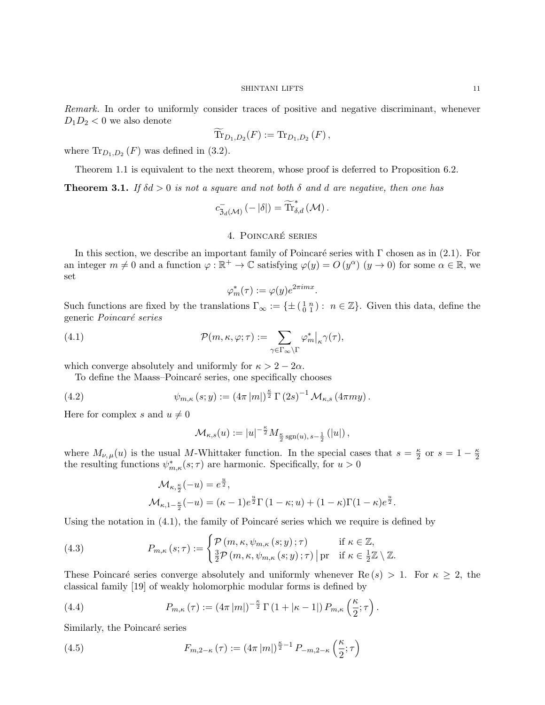Remark. In order to uniformly consider traces of positive and negative discriminant, whenever  $D_1D_2 < 0$  we also denote

$$
\text{Tr}_{D_1,D_2}(F) := \text{Tr}_{D_1,D_2}(F) ,
$$

where  $\text{Tr}_{D_1,D_2}(F)$  was defined in (3.2).

Theorem 1.1 is equivalent to the next theorem, whose proof is deferred to Proposition 6.2.

**Theorem 3.1.** If  $\delta d > 0$  is not a square and not both  $\delta$  and  $d$  are negative, then one has

$$
c_{\mathfrak{Z}_d(\mathcal{M})}^{-}\left(-\left|\delta\right|\right)=\widetilde{\mathrm{Tr}}_{\delta,d}^{*}\left(\mathcal{M}\right).
$$

## 4. POINCARÉ SERIES

In this section, we describe an important family of Poincaré series with  $\Gamma$  chosen as in (2.1). For an integer  $m \neq 0$  and a function  $\varphi : \mathbb{R}^+ \to \mathbb{C}$  satisfying  $\varphi(y) = O(y^{\alpha})$   $(y \to 0)$  for some  $\alpha \in \mathbb{R}$ , we set

$$
\varphi_m^*(\tau):=\varphi(y)e^{2\pi i mx}
$$

.

Such functions are fixed by the translations  $\Gamma_{\infty} := \{\pm \left(\begin{smallmatrix} 1 & n \\ 0 & 1 \end{smallmatrix}\right) : n \in \mathbb{Z}\}.$  Given this data, define the generic Poincaré series

(4.1) 
$$
\mathcal{P}(m,\kappa,\varphi;\tau) := \sum_{\gamma \in \Gamma_{\infty} \backslash \Gamma} \varphi_m^*|_{\kappa} \gamma(\tau),
$$

which converge absolutely and uniformly for  $\kappa > 2 - 2\alpha$ .

To define the Maass–Poincaré series, one specifically chooses

(4.2) 
$$
\psi_{m,\kappa}(s;y) := (4\pi |m|)^{\frac{\kappa}{2}} \Gamma(2s)^{-1} \mathcal{M}_{\kappa,s}(4\pi my).
$$

Here for complex s and  $u \neq 0$ 

$$
\mathcal{M}_{\kappa,s}(u) := |u|^{-\frac{\kappa}{2}} M_{\frac{\kappa}{2} \operatorname{sgn}(u), s-\frac{1}{2}}(|u|),
$$

where  $M_{\nu,\mu}(u)$  is the usual M-Whittaker function. In the special cases that  $s=\frac{\kappa}{2}$  $\frac{\kappa}{2}$  or  $s=1-\frac{\kappa}{2}$ 2 the resulting functions  $\psi_{m,\kappa}^*(s;\tau)$  are harmonic. Specifically, for  $u > 0$ 

$$
\mathcal{M}_{\kappa, \frac{\kappa}{2}}(-u) = e^{\frac{u}{2}},
$$
  

$$
\mathcal{M}_{\kappa, 1-\frac{\kappa}{2}}(-u) = (\kappa - 1)e^{\frac{u}{2}}\Gamma(1 - \kappa; u) + (1 - \kappa)\Gamma(1 - \kappa)e^{\frac{u}{2}}.
$$

Using the notation in  $(4.1)$ , the family of Poincaré series which we require is defined by

(4.3) 
$$
P_{m,\kappa}(s;\tau) := \begin{cases} \mathcal{P}(m,\kappa,\psi_{m,\kappa}(s;y);\tau) & \text{if } \kappa \in \mathbb{Z}, \\ \frac{3}{2}\mathcal{P}(m,\kappa,\psi_{m,\kappa}(s;y);\tau) \mid \text{pr} & \text{if } \kappa \in \frac{1}{2}\mathbb{Z} \setminus \mathbb{Z}. \end{cases}
$$

These Poincaré series converge absolutely and uniformly whenever  $\text{Re}(s) > 1$ . For  $\kappa \geq 2$ , the classical family [19] of weakly holomorphic modular forms is defined by

(4.4) 
$$
P_{m,\kappa}(\tau) := (4\pi |m|)^{-\frac{\kappa}{2}} \Gamma(1 + |\kappa - 1|) P_{m,\kappa}\left(\frac{\kappa}{2}; \tau\right).
$$

Similarly, the Poincaré series

(4.5) 
$$
F_{m,2-\kappa}(\tau) := (4\pi |m|)^{\frac{\kappa}{2}-1} P_{-m,2-\kappa}\left(\frac{\kappa}{2};\tau\right)
$$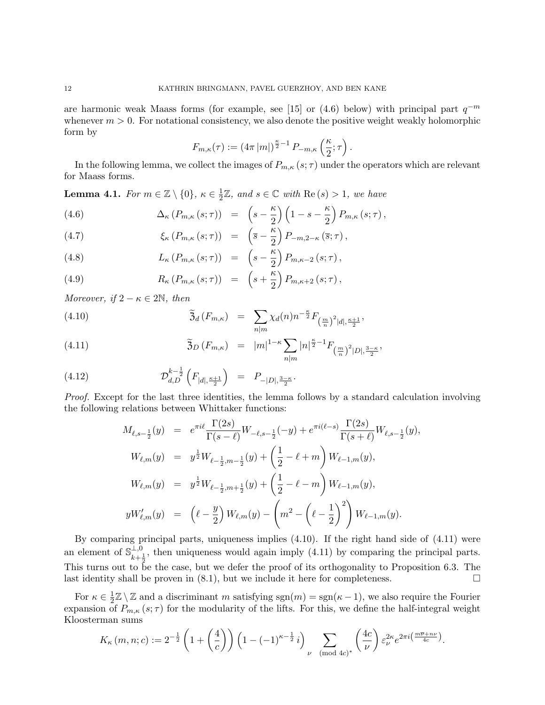are harmonic weak Maass forms (for example, see [15] or (4.6) below) with principal part  $q^{-m}$ whenever  $m > 0$ . For notational consistency, we also denote the positive weight weakly holomorphic form by

$$
F_{m,\kappa}(\tau) := (4\pi |m|)^{\frac{\kappa}{2}-1} P_{-m,\kappa}\left(\frac{\kappa}{2};\tau\right).
$$

In the following lemma, we collect the images of  $P_{m,\kappa}(s;\tau)$  under the operators which are relevant for Maass forms.

**Lemma 4.1.** For  $m \in \mathbb{Z} \setminus \{0\}$ ,  $\kappa \in \frac{1}{2}$  $\frac{1}{2}\mathbb{Z}$ , and  $s \in \mathbb{C}$  with  $\text{Re}(s) > 1$ , we have

(4.6) 
$$
\Delta_{\kappa} (P_{m,\kappa}(s;\tau)) = \left(s - \frac{\kappa}{2}\right) \left(1 - s - \frac{\kappa}{2}\right) P_{m,\kappa}(s;\tau),
$$

(4.7) 
$$
\xi_{\kappa} (P_{m,\kappa} (s;\tau)) = \left(\overline{s} - \frac{\kappa}{2}\right) P_{-m,2-\kappa} (\overline{s};\tau),
$$

(4.8) 
$$
L_{\kappa} (P_{m,\kappa} (s;\tau)) = \left(s - \frac{\kappa}{2}\right) P_{m,\kappa-2} (s;\tau),
$$

(4.9) 
$$
R_{\kappa}\left(P_{m,\kappa}\left(s;\tau\right)\right) = \left(s+\frac{\kappa}{2}\right)P_{m,\kappa+2}\left(s;\tau\right),
$$

Moreover, if  $2 - \kappa \in 2\mathbb{N}$ , then

(4.10) 
$$
\widetilde{\mathfrak{Z}}_d(F_{m,\kappa}) = \sum_{n|m} \chi_d(n) n^{-\frac{\kappa}{2}} F_{\left(\frac{m}{n}\right)^2 |d|, \frac{\kappa+1}{2}},
$$

(4.11) 
$$
\widetilde{\mathfrak{Z}}_D(F_{m,\kappa}) = |m|^{1-\kappa} \sum_{n|m} |n|^{\frac{\kappa}{2}-1} F_{(\frac{m}{n})^2|D|,\frac{3-\kappa}{2}},
$$

(4.12) 
$$
\mathcal{D}_{d,D}^{k-\frac{1}{2}}\left(F_{|d|,\frac{\kappa+1}{2}}\right) = P_{-|D|,\frac{3-\kappa}{2}}.
$$

Proof. Except for the last three identities, the lemma follows by a standard calculation involving the following relations between Whittaker functions:

$$
M_{\ell,s-\frac{1}{2}}(y) = e^{\pi i \ell} \frac{\Gamma(2s)}{\Gamma(s-\ell)} W_{-\ell,s-\frac{1}{2}}(-y) + e^{\pi i (\ell-s)} \frac{\Gamma(2s)}{\Gamma(s+\ell)} W_{\ell,s-\frac{1}{2}}(y),
$$
  
\n
$$
W_{\ell,m}(y) = y^{\frac{1}{2}} W_{\ell-\frac{1}{2},m-\frac{1}{2}}(y) + \left(\frac{1}{2} - \ell + m\right) W_{\ell-1,m}(y),
$$
  
\n
$$
W_{\ell,m}(y) = y^{\frac{1}{2}} W_{\ell-\frac{1}{2},m+\frac{1}{2}}(y) + \left(\frac{1}{2} - \ell - m\right) W_{\ell-1,m}(y),
$$
  
\n
$$
yW'_{\ell,m}(y) = \left(\ell - \frac{y}{2}\right) W_{\ell,m}(y) - \left(m^2 - \left(\ell - \frac{1}{2}\right)^2\right) W_{\ell-1,m}(y).
$$

By comparing principal parts, uniqueness implies (4.10). If the right hand side of (4.11) were an element of  $\mathbb{S}_{\mu}^{\perp,0}$  $\frac{1}{k+\frac{1}{2}}$ , then uniqueness would again imply (4.11) by comparing the principal parts. This turns out to be the case, but we defer the proof of its orthogonality to Proposition 6.3. The last identity shall be proven in  $(8.1)$ , but we include it here for completeness.

For  $\kappa \in \frac{1}{2}$  $\frac{1}{2}\mathbb{Z}\setminus\mathbb{Z}$  and a discriminant m satisfying sgn $(m) = \text{sgn}(\kappa - 1)$ , we also require the Fourier expansion of  $P_{m,\kappa}(s;\tau)$  for the modularity of the lifts. For this, we define the half-integral weight Kloosterman sums

$$
K_{\kappa}(m, n; c) := 2^{-\frac{1}{2}} \left( 1 + \left( \frac{4}{c} \right) \right) \left( 1 - (-1)^{\kappa - \frac{1}{2}} i \right) \sum_{\nu \pmod{4c}} \left( \frac{4c}{\nu} \right) \varepsilon_{\nu}^{2\kappa} e^{2\pi i \left( \frac{m\overline{\nu} + n\nu}{4c} \right)}.
$$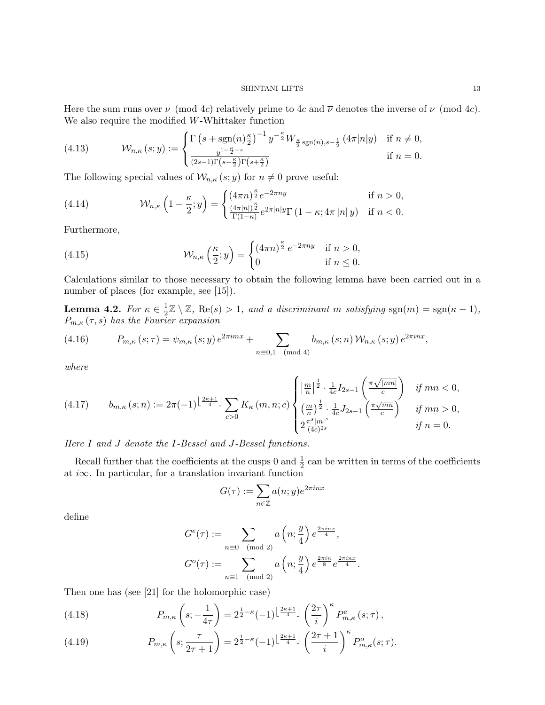Here the sum runs over  $\nu \pmod{4c}$  relatively prime to 4c and  $\overline{\nu}$  denotes the inverse of  $\nu \pmod{4c}$ . We also require the modified W-Whittaker function

(4.13) 
$$
\mathcal{W}_{n,\kappa}(s; y) := \begin{cases} \Gamma\left(s + \text{sgn}(n)\frac{\kappa}{2}\right)^{-1} y^{-\frac{\kappa}{2}} W_{\frac{\kappa}{2} \text{sgn}(n), s - \frac{1}{2}} \left(4\pi |n|y\right) & \text{if } n \neq 0, \\ \frac{y^{1 - \frac{\kappa}{2} - s}}{(2s - 1)\Gamma\left(s - \frac{\kappa}{2}\right)\Gamma\left(s + \frac{\kappa}{2}\right)} & \text{if } n = 0. \end{cases}
$$

The following special values of  $\mathcal{W}_{n,\kappa}(s; y)$  for  $n \neq 0$  prove useful:

(4.14) 
$$
\mathcal{W}_{n,\kappa}\left(1-\frac{\kappa}{2};y\right)=\begin{cases} (4\pi n)^{\frac{\kappa}{2}}e^{-2\pi ny} & \text{if } n>0,\\ \frac{(4\pi |n|)^{\frac{\kappa}{2}}}{\Gamma(1-\kappa)}e^{2\pi |n|y}\Gamma\left(1-\kappa;4\pi |n|y\right) & \text{if } n<0. \end{cases}
$$

Furthermore,

(4.15) 
$$
\mathcal{W}_{n,\kappa}\left(\frac{\kappa}{2};y\right) = \begin{cases} (4\pi n)^{\frac{\kappa}{2}} e^{-2\pi ny} & \text{if } n > 0, \\ 0 & \text{if } n \leq 0. \end{cases}
$$

Calculations similar to those necessary to obtain the following lemma have been carried out in a number of places (for example, see [15]).

Lemma 4.2. For  $\kappa \in \frac{1}{2}$  $\frac{1}{2}\mathbb{Z} \setminus \mathbb{Z}$ , Re(s) > 1, and a discriminant m satisfying sgn(m) = sgn( $\kappa - 1$ ),  $P_{m,\kappa}(\tau,s)$  has the Fourier expansion

(4.16) 
$$
P_{m,\kappa}(s;\tau) = \psi_{m,\kappa}(s;y) e^{2\pi imx} + \sum_{n \equiv 0,1 \pmod{4}} b_{m,\kappa}(s;n) W_{n,\kappa}(s;y) e^{2\pi inx},
$$

where

$$
(4.17) \qquad b_{m,\kappa}\left(s;n\right) := 2\pi(-1)^{\left\lfloor \frac{2\kappa+1}{4} \right\rfloor} \sum_{c>0} K_{\kappa}\left(m,n;c\right) \begin{cases} \left|\frac{m}{n}\right|^{\frac{1}{2}} \cdot \frac{1}{4c} I_{2s-1}\left(\frac{\pi\sqrt{|mn|}}{c}\right) & \text{if } mn < 0, \\ \left(\frac{m}{n}\right)^{\frac{1}{2}} \cdot \frac{1}{4c} J_{2s-1}\left(\frac{\pi\sqrt{mn}}{c}\right) & \text{if } mn > 0, \\ 2\frac{\pi^{s}|m|^{s}}{(4c)^{2s}} & \text{if } n = 0. \end{cases}
$$

Here I and J denote the I-Bessel and J-Bessel functions.

Recall further that the coefficients at the cusps 0 and  $\frac{1}{2}$  can be written in terms of the coefficients at i $\infty$ . In particular, for a translation invariant function

$$
G(\tau) := \sum_{n \in \mathbb{Z}} a(n; y) e^{2\pi i n x}
$$

define

$$
G^{e}(\tau) := \sum_{n \equiv 0 \pmod{2}} a\left(n; \frac{y}{4}\right) e^{\frac{2\pi i n x}{4}},
$$

$$
G^{o}(\tau) := \sum_{n \equiv 1 \pmod{2}} a\left(n; \frac{y}{4}\right) e^{\frac{2\pi i n}{8}} e^{\frac{2\pi i n x}{4}}.
$$

Then one has (see [21] for the holomorphic case)

(4.18) 
$$
P_{m,\kappa}\left(s;-\frac{1}{4\tau}\right) = 2^{\frac{1}{2}-\kappa}(-1)^{\left\lfloor\frac{2\kappa+1}{4}\right\rfloor} \left(\frac{2\tau}{i}\right)^{\kappa} P_{m,\kappa}^{e}\left(s;\tau\right),
$$

(4.19) 
$$
P_{m,\kappa}\left(s;\frac{\tau}{2\tau+1}\right) = 2^{\frac{1}{2}-\kappa}(-1)^{\left\lfloor\frac{2\kappa+1}{4}\right\rfloor}\left(\frac{2\tau+1}{i}\right)^{\kappa}P_{m,\kappa}^o(s;\tau).
$$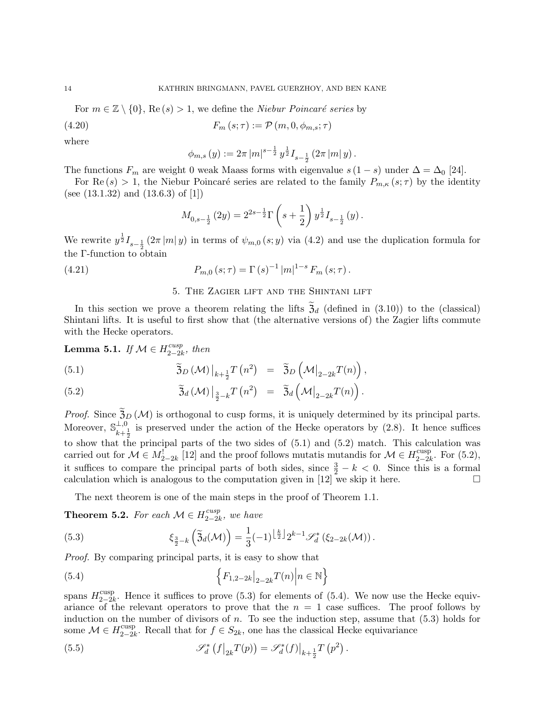For  $m \in \mathbb{Z} \setminus \{0\}$ , Re  $(s) > 1$ , we define the *Niebur Poincaré series* by

$$
(4.20) \t\t F_m(s; \tau) := \mathcal{P}(m, 0, \phi_{m,s}; \tau)
$$

where

$$
\phi_{m,s}(y) := 2\pi |m|^{s-\frac{1}{2}} y^{\frac{1}{2}} I_{s-\frac{1}{2}}(2\pi |m| y).
$$

The functions  $F_m$  are weight 0 weak Maass forms with eigenvalue  $s(1-s)$  under  $\Delta = \Delta_0$  [24].

For Re  $(s) > 1$ , the Niebur Poincaré series are related to the family  $P_{m,\kappa}(s;\tau)$  by the identity (see (13.1.32) and (13.6.3) of [1])

$$
M_{0,s-\frac{1}{2}}(2y) = 2^{2s-\frac{1}{2}} \Gamma\left(s+\frac{1}{2}\right) y^{\frac{1}{2}} I_{s-\frac{1}{2}}(y).
$$

We rewrite  $y^{\frac{1}{2}} I_{s-\frac{1}{2}}(2\pi |m|y)$  in terms of  $\psi_{m,0}(s; y)$  via (4.2) and use the duplication formula for the Γ-function to obtain

(4.21) 
$$
P_{m,0}(s;\tau) = \Gamma(s)^{-1} |m|^{1-s} F_m(s;\tau).
$$

## 5. The Zagier lift and the Shintani lift

In this section we prove a theorem relating the lifts  $\mathfrak{Z}_d$  (defined in (3.10)) to the (classical) Shintani lifts. It is useful to first show that (the alternative versions of) the Zagier lifts commute with the Hecke operators.

 $\Big)$ ,

**Lemma 5.1.** If 
$$
M \in H_{2-2k}^{cusp}
$$
, then  
\n(5.1) 
$$
\widetilde{\mathfrak{Z}}_D(\mathcal{M})|_{k+\frac{1}{2}}T(n^2) = \widetilde{\mathfrak{Z}}_D(\mathcal{M}|_{2-2k}T(n)),
$$

(5.2) 
$$
\widetilde{\mathfrak{Z}}_d(\mathcal{M})\big|_{\frac{3}{2}-k}T(n^2) = \widetilde{\mathfrak{Z}}_d\left(\mathcal{M}\big|_{2-2k}T(n)\right).
$$

*Proof.* Since  $\tilde{\mathfrak{Z}}_D(\mathcal{M})$  is orthogonal to cusp forms, it is uniquely determined by its principal parts. Moreover,  $\mathbb{S}_{\mu}^{\perp,0}$  $\frac{1}{k+\frac{1}{2}}$  is preserved under the action of the Hecke operators by (2.8). It hence suffices to show that the principal parts of the two sides of  $(5.1)$  and  $(5.2)$  match. This calculation was carried out for  $\mathcal{M} \in M_{2-2k}^{\mathbb{C}}$  [12] and the proof follows mutatis mutandis for  $\mathcal{M} \in H_{2-2k}^{\text{cusp}}$  $_{2-2k}^{\text{cusp}}$ . For  $(5.2)$ , it suffices to compare the principal parts of both sides, since  $\frac{3}{2} - k < 0$ . Since this is a formal calculation which is analogous to the computation given in [12] we skip it here.  $\Box$ 

The next theorem is one of the main steps in the proof of Theorem 1.1.

**Theorem 5.2.** For each  $\mathcal{M} \in H_{2 \rightarrow 2}^{cusp}$  $\frac{2-2k}{k}$ , we have

(5.3) 
$$
\xi_{\frac{3}{2}-k}(\tilde{\mathfrak{Z}}_d(\mathcal{M})) = \frac{1}{3}(-1)^{\left\lfloor \frac{k}{2} \right\rfloor} 2^{k-1} \mathscr{S}_d^* \left( \xi_{2-2k}(\mathcal{M}) \right).
$$

Proof. By comparing principal parts, it is easy to show that

(5.4) 
$$
\left\{ F_{1,2-2k} \big|_{2-2k} T(n) \big| n \in \mathbb{N} \right\}
$$

spans  $H_{2-2l}^{\text{cusp}}$ <sup>cusp</sup><sub>2−2k</sub>. Hence it suffices to prove (5.3) for elements of (5.4). We now use the Hecke equivariance of the relevant operators to prove that the  $n = 1$  case suffices. The proof follows by induction on the number of divisors of  $n$ . To see the induction step, assume that  $(5.3)$  holds for some  $\mathcal{M} \in H_{2-2l}^{\text{cusp}}$ <sup>cusp</sup><sub>2−2k</sub>. Recall that for  $f \in S_{2k}$ , one has the classical Hecke equivariance

(5.5) 
$$
\mathscr{S}_d^* \left( f \big|_{2k} T(p) \right) = \mathscr{S}_d^*(f) \big|_{k + \frac{1}{2}} T \left( p^2 \right).
$$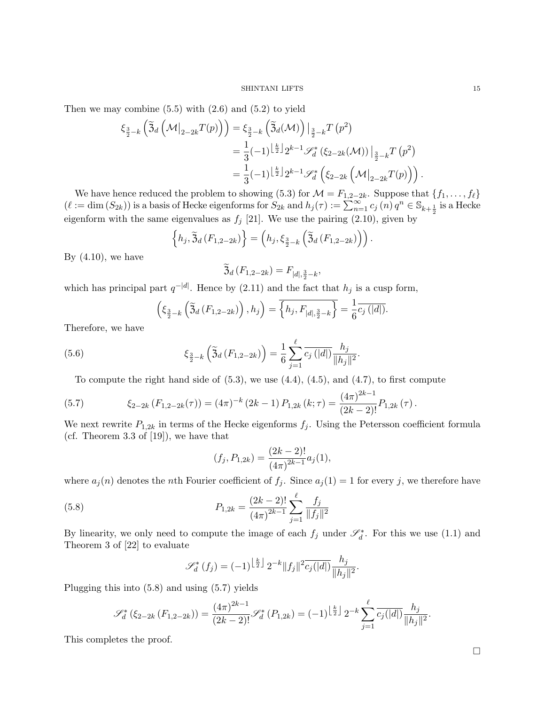Then we may combine  $(5.5)$  with  $(2.6)$  and  $(5.2)$  to yield

$$
\xi_{\frac{3}{2}-k} \left( \tilde{\mathfrak{Z}}_{d} \left( \mathcal{M} \big|_{2-2k} T(p) \right) \right) = \xi_{\frac{3}{2}-k} \left( \tilde{\mathfrak{Z}}_{d} (\mathcal{M}) \right) \big|_{\frac{3}{2}-k} T(p^2) \n= \frac{1}{3} (-1)^{\left\lfloor \frac{k}{2} \right\rfloor} 2^{k-1} \mathscr{S}_{d}^{*} \left( \xi_{2-2k} (\mathcal{M}) \right) \big|_{\frac{3}{2}-k} T(p^2) \n= \frac{1}{3} (-1)^{\left\lfloor \frac{k}{2} \right\rfloor} 2^{k-1} \mathscr{S}_{d}^{*} \left( \xi_{2-2k} \left( \mathcal{M} \big|_{2-2k} T(p) \right) \right).
$$

We have hence reduced the problem to showing (5.3) for  $\mathcal{M} = F_{1,2-2k}$ . Suppose that  $\{f_1, \ldots, f_\ell\}$  $(\ell := \dim(S_{2k}))$  is a basis of Hecke eigenforms for  $S_{2k}$  and  $h_j(\tau) := \sum_{n=1}^{\infty} c_j(n) q^n \in \mathbb{S}_{k+\frac{1}{2}}$  is a Hecke eigenform with the same eigenvalues as  $f_j$  [21]. We use the pairing (2.10), given by

$$
\left\{h_j, \widetilde{\mathfrak{Z}}_d\left(F_{1,2-2k}\right)\right\} = \left(h_j, \xi_{\frac{3}{2}-k}\left(\widetilde{\mathfrak{Z}}_d\left(F_{1,2-2k}\right)\right)\right).
$$

By  $(4.10)$ , we have

$$
\mathfrak{Z}_d(F_{1,2-2k})=F_{|d|,\frac{3}{2}-k},
$$

which has principal part  $q^{-|d|}$ . Hence by (2.11) and the fact that  $h_j$  is a cusp form,

$$
\left(\xi_{\frac{3}{2}-k}\left(\tilde{\mathfrak{Z}}_{d}\left(F_{1,2-2k}\right)\right),h_j\right)=\overline{\left\{h_j,F_{|d|,\frac{3}{2}-k}\right\}}=\frac{1}{6}\overline{c_j\left(|d|\right)}.
$$

Therefore, we have

(5.6) 
$$
\xi_{\frac{3}{2}-k} \left( \tilde{\mathfrak{Z}}_d \left( F_{1,2-2k} \right) \right) = \frac{1}{6} \sum_{j=1}^{\ell} \overline{c_j \left( |d| \right)} \frac{h_j}{\|h_j\|^2}.
$$

To compute the right hand side of  $(5.3)$ , we use  $(4.4)$ ,  $(4.5)$ , and  $(4.7)$ , to first compute

(5.7) 
$$
\xi_{2-2k}(F_{1,2-2k}(\tau)) = (4\pi)^{-k} (2k-1) P_{1,2k}(k;\tau) = \frac{(4\pi)^{2k-1}}{(2k-2)!} P_{1,2k}(\tau).
$$

We next rewrite  $P_{1,2k}$  in terms of the Hecke eigenforms  $f_j$ . Using the Petersson coefficient formula (cf. Theorem 3.3 of [19]), we have that

$$
(f_j, P_{1,2k}) = \frac{(2k-2)!}{(4\pi)^{2k-1}} a_j(1),
$$

where  $a_j(n)$  denotes the nth Fourier coefficient of  $f_j$ . Since  $a_j(1) = 1$  for every j, we therefore have

(5.8) 
$$
P_{1,2k} = \frac{(2k-2)!}{(4\pi)^{2k-1}} \sum_{j=1}^{\ell} \frac{f_j}{\|f_j\|^2}
$$

By linearity, we only need to compute the image of each  $f_j$  under  $\mathscr{S}_d^*$ . For this we use (1.1) and Theorem 3 of [22] to evaluate

$$
\mathscr{S}_d^*(f_j) = (-1)^{\left\lfloor \frac{k}{2} \right\rfloor} 2^{-k} \|f_j\|^2 \overline{c_j(|d|)} \frac{h_j}{\|h_j\|^2}.
$$

Plugging this into (5.8) and using (5.7) yields

$$
\mathscr{S}_d^* \left( \xi_{2-2k} \left( F_{1,2-2k} \right) \right) = \frac{\left( 4\pi \right)^{2k-1}}{\left( 2k-2 \right)!} \mathscr{S}_d^* \left( P_{1,2k} \right) = (-1)^{\left\lfloor \frac{k}{2} \right\rfloor} 2^{-k} \sum_{j=1}^\ell \overline{c_j(|d|)} \frac{h_j}{\|h_j\|^2}.
$$

This completes the proof.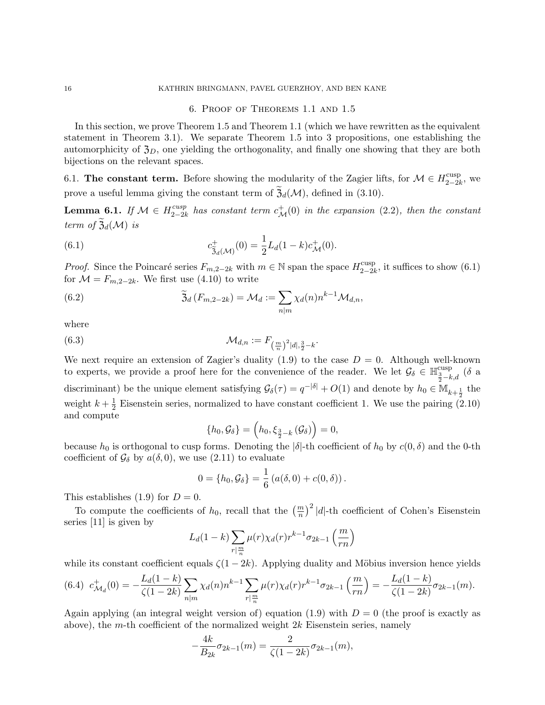### 16 KATHRIN BRINGMANN, PAVEL GUERZHOY, AND BEN KANE

## 6. Proof of Theorems 1.1 and 1.5

In this section, we prove Theorem 1.5 and Theorem 1.1 (which we have rewritten as the equivalent statement in Theorem 3.1). We separate Theorem 1.5 into 3 propositions, one establishing the automorphicity of  $\mathfrak{Z}_D$ , one yielding the orthogonality, and finally one showing that they are both bijections on the relevant spaces.

6.1. The constant term. Before showing the modularity of the Zagier lifts, for  $\mathcal{M} \in H_{2-2l}^{\text{cusp}}$  $_{2-2k}^{\text{cusp}},$  we prove a useful lemma giving the constant term of  $\mathfrak{Z}_d(\mathcal{M})$ , defined in (3.10).

Lemma 6.1. If  $\mathcal{M} \in H^{cusp}_{2-2k}$  $\frac{cusp}{2-2k}$  has constant term  $c^+_{\mathcal{M}}(0)$  in the expansion (2.2), then the constant term of  $\mathfrak{Z}_d(\mathcal{M})$  is

(6.1) 
$$
c_{\tilde{\mathfrak{Z}}_d(\mathcal{M})}^+(0) = \frac{1}{2} L_d(1-k) c_{\mathcal{M}}^+(0).
$$

*Proof.* Since the Poincaré series  $F_{m,2-2k}$  with  $m \in \mathbb{N}$  span the space  $H_{2-2k}^{\text{cusp}}$  $_{2-2k}^{\text{cusp}}$ , it suffices to show  $(6.1)$ for  $\mathcal{M} = F_{m,2-2k}$ . We first use (4.10) to write

(6.2) 
$$
\widetilde{\mathfrak{Z}}_d(F_{m,2-2k}) = \mathcal{M}_d := \sum_{n|m} \chi_d(n) n^{k-1} \mathcal{M}_{d,n},
$$

where

(6.3) 
$$
\mathcal{M}_{d,n} := F_{\left(\frac{m}{n}\right)^2 |d|, \frac{3}{2} - k}.
$$

We next require an extension of Zagier's duality (1.9) to the case  $D = 0$ . Although well-known to experts, we provide a proof here for the convenience of the reader. We let  $\mathcal{G}_{\delta} \in \mathbb{H}^{\text{cusp}}_{\frac{3}{2}-k,d}$  ( $\delta$  a discriminant) be the unique element satisfying  $\mathcal{G}_{\delta}(\tau) = q^{-|\delta|} + O(1)$  and denote by  $h_0 \in M_{k + \frac{1}{2}}$  the weight  $k+\frac{1}{2}$  $\frac{1}{2}$  Eisenstein series, normalized to have constant coefficient 1. We use the pairing (2.10) and compute

$$
\{h_0, \mathcal{G}_\delta\} = \left(h_0, \xi_{\frac{3}{2} - k} \left(\mathcal{G}_\delta\right)\right) = 0,
$$

because  $h_0$  is orthogonal to cusp forms. Denoting the  $|\delta|$ -th coefficient of  $h_0$  by  $c(0, \delta)$  and the 0-th coefficient of  $\mathcal{G}_{\delta}$  by  $a(\delta, 0)$ , we use (2.11) to evaluate

$$
0 = \{h_0, \mathcal{G}_{\delta}\} = \frac{1}{6} (a(\delta, 0) + c(0, \delta)).
$$

This establishes (1.9) for  $D = 0$ .

To compute the coefficients of  $h_0$ , recall that the  $\left(\frac{m}{n}\right)^2 |d|$ -th coefficient of Cohen's Eisenstein series [11] is given by

$$
L_d(1-k)\sum_{r|\frac{m}{n}}\mu(r)\chi_d(r)r^{k-1}\sigma_{2k-1}\left(\frac{m}{rn}\right)
$$

while its constant coefficient equals  $\zeta(1 - 2k)$ . Applying duality and Möbius inversion hence yields

$$
(6.4) \ c^+_{\mathcal{M}_d}(0) = -\frac{L_d(1-k)}{\zeta(1-2k)} \sum_{n|m} \chi_d(n) n^{k-1} \sum_{r|\frac{m}{n}} \mu(r) \chi_d(r) r^{k-1} \sigma_{2k-1}\left(\frac{m}{rn}\right) = -\frac{L_d(1-k)}{\zeta(1-2k)} \sigma_{2k-1}(m).
$$

Again applying (an integral weight version of) equation (1.9) with  $D = 0$  (the proof is exactly as above), the m-th coefficient of the normalized weight  $2k$  Eisenstein series, namely

$$
-\frac{4k}{B_{2k}}\sigma_{2k-1}(m) = \frac{2}{\zeta(1-2k)}\sigma_{2k-1}(m),
$$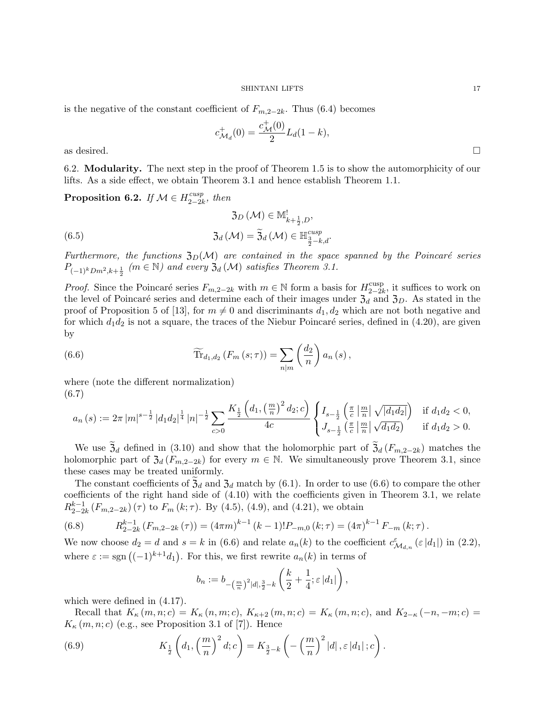is the negative of the constant coefficient of  $F_{m,2-2k}$ . Thus (6.4) becomes

$$
c_{\mathcal{M}_d}^+(0) = \frac{c_{\mathcal{M}}^+(0)}{2} L_d(1-k),
$$
 as desired.

6.2. Modularity. The next step in the proof of Theorem 1.5 is to show the automorphicity of our lifts. As a side effect, we obtain Theorem 3.1 and hence establish Theorem 1.1.

Proposition 6.2. If  $\mathcal{M} \in H_{2-2}^{cusp}$  $\frac{cusp}{2-2k}$ , then

(6.5) 
$$
\mathfrak{Z}_D(\mathcal{M}) \in \mathbb{M}_{k+\frac{1}{2},D}^!,
$$

$$
\mathfrak{Z}_d(\mathcal{M}) = \widetilde{\mathfrak{Z}}_d(\mathcal{M}) \in \mathbb{H}_{\frac{3}{2}-k,d}^{cusp}.
$$

Furthermore, the functions  $\mathfrak{Z}_D(\mathcal{M})$  are contained in the space spanned by the Poincaré series  $P_{(-1)^k Dm^2, k+\frac{1}{2}}$  (m  $\in \mathbb{N}$ ) and every  $\mathfrak{Z}_d(\mathcal{M})$  satisfies Theorem 3.1.

*Proof.* Since the Poincaré series  $F_{m,2-2k}$  with  $m \in \mathbb{N}$  form a basis for  $H_{2-2k}^{\text{cusp}}$  $_{2-2k}^{\text{cusp}}$ , it suffices to work on the level of Poincaré series and determine each of their images under  $\overline{\mathfrak{Z}_d}$  and  $\overline{\mathfrak{Z}_D}$ . As stated in the proof of Proposition 5 of [13], for  $m \neq 0$  and discriminants  $d_1, d_2$  which are not both negative and for which  $d_1d_2$  is not a square, the traces of the Niebur Poincaré series, defined in (4.20), are given by

(6.6) 
$$
\widetilde{\text{Tr}}_{d_1,d_2}(F_m(s;\tau)) = \sum_{n|m} \left(\frac{d_2}{n}\right) a_n(s),
$$

where (note the different normalization) (6.7)

$$
a_n(s) := 2\pi |m|^{s-\frac{1}{2}} |d_1 d_2|^{\frac{1}{4}} |n|^{-\frac{1}{2}} \sum_{c>0} \frac{K_{\frac{1}{2}}\left(d_1, \left(\frac{m}{n}\right)^2 d_2; c\right)}{4c} \begin{cases} I_{s-\frac{1}{2}}\left(\frac{\pi}{c} \left|\frac{m}{n}\right| \sqrt{|d_1 d_2|}\right) & \text{if } d_1 d_2 < 0, \\ J_{s-\frac{1}{2}}\left(\frac{\pi}{c} \left|\frac{m}{n}\right| \sqrt{d_1 d_2}\right) & \text{if } d_1 d_2 > 0. \end{cases}
$$

We use  $\mathfrak{Z}_d$  defined in (3.10) and show that the holomorphic part of  $\mathfrak{Z}_d(F_{m,2-2k})$  matches the holomorphic part of  $\mathfrak{Z}_d(F_{m,2-2k})$  for every  $m \in \mathbb{N}$ . We simultaneously prove Theorem 3.1, since these cases may be treated uniformly.

The constant coefficients of  $\mathfrak{Z}_d$  and  $\mathfrak{Z}_d$  match by (6.1). In order to use (6.6) to compare the other coefficients of the right hand side of (4.10) with the coefficients given in Theorem 3.1, we relate  $R_{2-2}^{k-1}$  $_{2-2k}^{k-1}(F_{m,2-2k})(\tau)$  to  $F_m(k;\tau)$ . By (4.5), (4.9), and (4.21), we obtain

(6.8) 
$$
R_{2-2k}^{k-1}(F_{m,2-2k}(\tau)) = (4\pi m)^{k-1}(k-1)!P_{-m,0}(k;\tau) = (4\pi)^{k-1}F_{-m}(k;\tau).
$$

We now choose  $d_2 = d$  and  $s = k$  in (6.6) and relate  $a_n(k)$  to the coefficient  $c^{\varepsilon}_{\mathcal{M}_{d,n}}(\varepsilon |d_1|)$  in (2.2), where  $\varepsilon := \text{sgn}((-1)^{k+1}d_1)$ . For this, we first rewrite  $a_n(k)$  in terms of

$$
b_n := b_{-(\frac{m}{n})^2 |d|, \frac{3}{2} - k} \left( \frac{k}{2} + \frac{1}{4}; \varepsilon |d_1| \right),
$$

which were defined in (4.17).

Recall that  $K_{\kappa}(m, n; c) = K_{\kappa}(n, m; c), K_{\kappa+2}(m, n; c) = K_{\kappa}(m, n; c),$  and  $K_{2-\kappa}(-n, -m; c) =$  $K_{\kappa}(m, n; c)$  (e.g., see Proposition 3.1 of [7]). Hence

(6.9) 
$$
K_{\frac{1}{2}}\left(d_1,\left(\frac{m}{n}\right)^2d;c\right)=K_{\frac{3}{2}-k}\left(-\left(\frac{m}{n}\right)^2|d|,\varepsilon|d_1|;c\right).
$$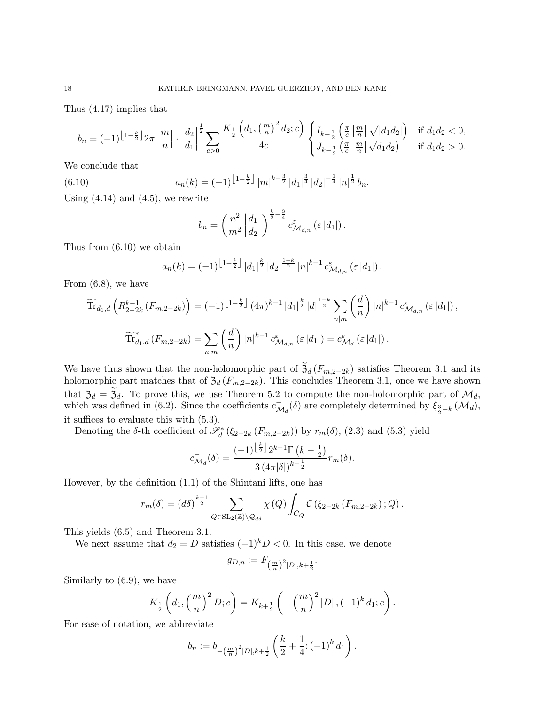Thus (4.17) implies that

$$
b_n = (-1)^{\left\lfloor 1 - \frac{k}{2} \right\rfloor} 2\pi \left\lfloor \frac{m}{n} \right\rfloor \cdot \left\lfloor \frac{d_2}{d_1} \right\rfloor^{\frac{1}{2}} \sum_{c > 0} \frac{K_{\frac{1}{2}}\left( d_1, \left( \frac{m}{n} \right)^2 d_2; c\right)}{4c} \begin{cases} I_{k - \frac{1}{2}}\left( \frac{\pi}{c} \left\lfloor \frac{m}{n} \right\rfloor \sqrt{|d_1 d_2|} \right) & \text{if } d_1 d_2 < 0, \\ J_{k - \frac{1}{2}}\left( \frac{\pi}{c} \left\lfloor \frac{m}{n} \right\rfloor \sqrt{d_1 d_2} \right) & \text{if } d_1 d_2 > 0. \end{cases}
$$

We conclude that

(6.10) 
$$
a_n(k) = (-1)^{\left\lfloor 1 - \frac{k}{2} \right\rfloor} |m|^{k - \frac{3}{2}} |d_1|^{\frac{3}{4}} |d_2|^{-\frac{1}{4}} |n|^{\frac{1}{2}} b_n.
$$

Using  $(4.14)$  and  $(4.5)$ , we rewrite

$$
b_n = \left(\frac{n^2}{m^2} \left| \frac{d_1}{d_2} \right| \right)^{\frac{k}{2} - \frac{3}{4}} c_{\mathcal{M}_{d,n}}^{\varepsilon} \left( \varepsilon |d_1| \right).
$$

Thus from (6.10) we obtain

$$
a_n(k) = (-1)^{\left\lfloor 1 - \frac{k}{2} \right\rfloor} |d_1|^{\frac{k}{2}} |d_2|^{\frac{1-k}{2}} |n|^{k-1} c_{\mathcal{M}_{d,n}}^{\varepsilon} \left( \varepsilon |d_1| \right).
$$

From (6.8), we have

$$
\widetilde{\text{Tr}}_{d_1,d}\left(R_{2-2k}^{k-1}(F_{m,2-2k})\right) = (-1)^{\left\lfloor 1-\frac{k}{2} \right\rfloor} (4\pi)^{k-1} |d_1|^{\frac{k}{2}} |d|^{\frac{1-k}{2}} \sum_{n|m} \binom{d}{n} |n|^{k-1} c_{\mathcal{M}_{d,n}}^{\varepsilon}(\varepsilon |d_1|),
$$
\n
$$
\widetilde{\text{Tr}}_{d_1,d}^*(F_{m,2-2k}) = \sum_{n|m} \binom{d}{n} |n|^{k-1} c_{\mathcal{M}_{d,n}}^{\varepsilon}(\varepsilon |d_1|) = c_{\mathcal{M}_d}^{\varepsilon}(\varepsilon |d_1|).
$$

We have thus shown that the non-holomorphic part of  $\mathfrak{Z}_d(F_{m,2-2k})$  satisfies Theorem 3.1 and its holomorphic part matches that of  $\mathfrak{Z}_d(F_{m,2-2k})$ . This concludes Theorem 3.1, once we have shown that  $\mathfrak{Z}_d = \mathfrak{Z}_d$ . To prove this, we use Theorem 5.2 to compute the non-holomorphic part of  $\mathcal{M}_d$ , which was defined in (6.2). Since the coefficients  $c_{\lambda}^ \overline{\mathcal{M}}_d$ (δ) are completely determined by  $\xi_{\frac{3}{2}-k}$  ( $\mathcal{M}_d$ ), it suffices to evaluate this with (5.3).

Denoting the δ-th coefficient of  $\mathscr{S}_d^*$  ( $\xi_{2-2k}$  ( $F_{m,2-2k}$ )) by  $r_m(\delta)$ , (2.3) and (5.3) yield

$$
c_{\mathcal{M}_d}^-(\delta) = \frac{(-1)^{\left\lfloor \frac{k}{2} \right\rfloor} 2^{k-1} \Gamma\left(k - \frac{1}{2}\right)}{3 \left(4\pi |\delta|\right)^{k - \frac{1}{2}}} r_m(\delta).
$$

However, by the definition (1.1) of the Shintani lifts, one has

$$
r_m(\delta) = (d\delta)^{\frac{k-1}{2}} \sum_{Q \in SL_2(\mathbb{Z}) \backslash Q_{d\delta}} \chi(Q) \int_{C_Q} C(\xi_{2-2k} (F_{m,2-2k}); Q).
$$

This yields (6.5) and Theorem 3.1.

We next assume that  $d_2 = D$  satisfies  $(-1)^k D < 0$ . In this case, we denote

$$
g_{D,n} := F_{\left(\frac{m}{n}\right)^2|D|,k+\frac{1}{2}}.
$$

Similarly to (6.9), we have

$$
K_{\frac{1}{2}}\left(d_1, \left(\frac{m}{n}\right)^2 D; c\right) = K_{k+\frac{1}{2}}\left(-\left(\frac{m}{n}\right)^2 |D|, (-1)^k d_1; c\right).
$$

For ease of notation, we abbreviate

$$
b_n := b_{-(\frac{m}{n})^2|D|,k+\frac{1}{2}}\left(\frac{k}{2} + \frac{1}{4}; (-1)^k d_1\right).
$$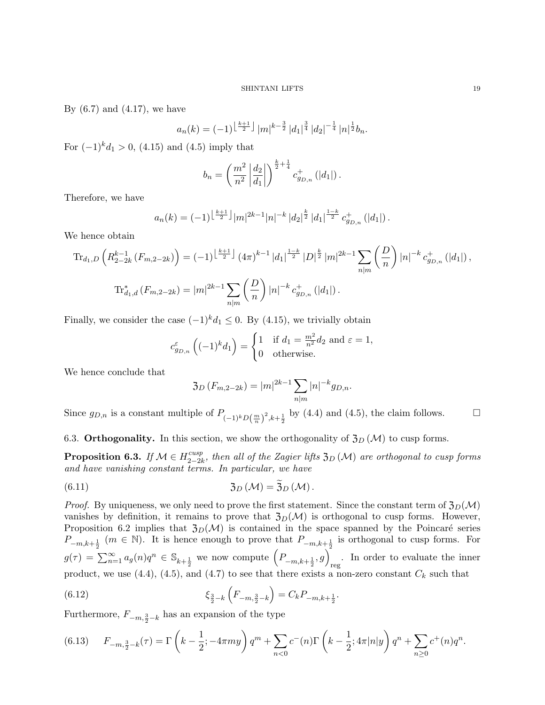By  $(6.7)$  and  $(4.17)$ , we have

$$
a_n(k) = (-1)^{\left\lfloor \frac{k+1}{2} \right\rfloor} |m|^{k-\frac{3}{2}} |d_1|^{\frac{3}{4}} |d_2|^{-\frac{1}{4}} |n|^{\frac{1}{2}} b_n.
$$

For  $(-1)^k d_1 > 0$ ,  $(4.15)$  and  $(4.5)$  imply that

$$
b_n = \left(\frac{m^2}{n^2} \left| \frac{d_2}{d_1} \right| \right)^{\frac{k}{2} + \frac{1}{4}} c_{g_{D,n}}^+ (|d_1|) .
$$

Therefore, we have

$$
a_n(k) = (-1)^{\left\lfloor \frac{k+1}{2} \right\rfloor} |m|^{2k-1} |n|^{-k} |d_2|^{\frac{k}{2}} |d_1|^{\frac{1-k}{2}} c_{g_{D,n}}^+ (|d_1|) .
$$

We hence obtain

$$
\operatorname{Tr}_{d_1,D}\left(R_{2-2k}^{k-1}(F_{m,2-2k})\right) = (-1)^{\left\lfloor \frac{k+1}{2} \right\rfloor} (4\pi)^{k-1} |d_1|^{\frac{1-k}{2}} |D|^{\frac{k}{2}} |m|^{2k-1} \sum_{n|m} \left(\frac{D}{n}\right) |n|^{-k} c_{g_{D,n}}^{\dagger}(|d_1|),
$$
  

$$
\operatorname{Tr}_{d_1,d}^*(F_{m,2-2k}) = |m|^{2k-1} \sum_{n|m} \left(\frac{D}{n}\right) |n|^{-k} c_{g_{D,n}}^{\dagger}(|d_1|).
$$

Finally, we consider the case  $(-1)^k d_1 \leq 0$ . By (4.15), we trivially obtain

$$
c_{g_{D,n}}^{\varepsilon} \left( (-1)^{k} d_{1} \right) = \begin{cases} 1 & \text{if } d_{1} = \frac{m^{2}}{n^{2}} d_{2} \text{ and } \varepsilon = 1, \\ 0 & \text{otherwise.} \end{cases}
$$

We hence conclude that

$$
3_D(F_{m,2-2k}) = |m|^{2k-1} \sum_{n|m} |n|^{-k} g_{D,n}.
$$

Since  $g_{D,n}$  is a constant multiple of  $P_{(-1)^k D(\frac{m}{n})^2, k+\frac{1}{2}}$  by (4.4) and (4.5), the claim follows.  $\Box$ 

6.3. Orthogonality. In this section, we show the orthogonality of  $\mathfrak{Z}_D(\mathcal{M})$  to cusp forms.

Proposition 6.3. If  $\mathcal{M} \in H^{cusp}_{2-2k}$  $\frac{cusp}{2-2k}$ , then all of the Zagier lifts  $\mathfrak{Z}_D(\mathcal{M})$  are orthogonal to cusp forms and have vanishing constant terms. In particular, we have

(6.11) 
$$
\mathfrak{Z}_D(\mathcal{M}) = \mathfrak{Z}_D(\mathcal{M}).
$$

*Proof.* By uniqueness, we only need to prove the first statement. Since the constant term of  $\mathfrak{Z}_D(\mathcal{M})$ vanishes by definition, it remains to prove that  $\mathfrak{Z}_D(\mathcal{M})$  is orthogonal to cusp forms. However, Proposition 6.2 implies that  $\mathfrak{Z}_D(\mathcal{M})$  is contained in the space spanned by the Poincaré series  $P_{-m,k+\frac{1}{2}}$  ( $m \in \mathbb{N}$ ). It is hence enough to prove that  $P_{-m,k+\frac{1}{2}}$  is orthogonal to cusp forms. For  $g(\tau) = \sum_{n=1}^{\infty} a_n(n) q^n \in \mathbb{S}_{k+\frac{1}{2}}$  we now compute  $\left(P_{-m,k+\frac{1}{2}}, g\right)_{\text{reg}}$ . In order to evaluate the inner product, we use (4.4), (4.5), and (4.7) to see that there exists a non-zero constant  $C_k$  such that

(6.12) 
$$
\xi_{\frac{3}{2}-k} \left( F_{-m,\frac{3}{2}-k} \right) = C_k P_{-m,k+\frac{1}{2}}.
$$

Furthermore,  $F_{-m, \frac{3}{2} - k}$  has an expansion of the type

$$
(6.13) \qquad F_{-m,\frac{3}{2}-k}(\tau) = \Gamma\left(k - \frac{1}{2}; -4\pi my\right)q^m + \sum_{n < 0} c^-(n)\Gamma\left(k - \frac{1}{2}; 4\pi|n|y\right)q^n + \sum_{n \ge 0} c^+(n)q^n.
$$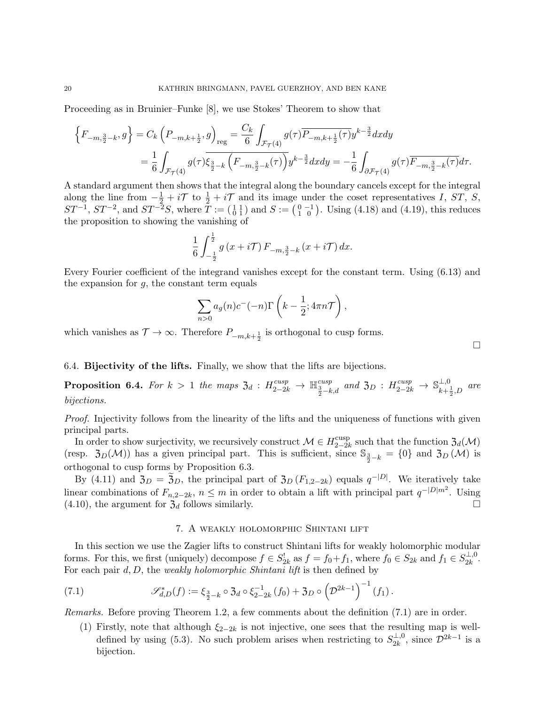Proceeding as in Bruinier–Funke [8], we use Stokes' Theorem to show that

$$
\left\{F_{-m,\frac{3}{2}-k},g\right\} = C_k \left(P_{-m,k+\frac{1}{2}},g\right)_{\text{reg}} = \frac{C_k}{6} \int_{\mathcal{F}_{\mathcal{T}}(4)} g(\tau) \overline{P_{-m,k+\frac{1}{2}}(\tau)} y^{k-\frac{3}{2}} dx dy
$$
  

$$
= \frac{1}{6} \int_{\mathcal{F}_{\mathcal{T}}(4)} g(\tau) \overline{\xi_{\frac{3}{2}-k} \left(F_{-m,\frac{3}{2}-k}(\tau)\right)} y^{k-\frac{3}{2}} dx dy = -\frac{1}{6} \int_{\partial \mathcal{F}_{\mathcal{T}}(4)} g(\tau) \overline{F_{-m,\frac{3}{2}-k}(\tau)} d\tau.
$$

A standard argument then shows that the integral along the boundary cancels except for the integral along the line from  $-\frac{1}{2} + i\mathcal{T}$  to  $\frac{1}{2} + i\mathcal{T}$  and its image under the coset representatives I, ST, S,  $ST^{-1}$ ,  $ST^{-2}$ , and  $ST^{-2}S$ , where  $T := \begin{pmatrix} 1 & 1 \\ 0 & 1 \end{pmatrix}$  and  $S := \begin{pmatrix} 0 & -1 \\ 1 & 0 \end{pmatrix}$ . Using (4.18) and (4.19), this reduces the proposition to showing the vanishing of

$$
\frac{1}{6} \int_{-\frac{1}{2}}^{\frac{1}{2}} g\left(x + i\mathcal{T}\right) F_{-m, \frac{3}{2} - k}\left(x + i\mathcal{T}\right) dx.
$$

Every Fourier coefficient of the integrand vanishes except for the constant term. Using (6.13) and the expansion for  $g$ , the constant term equals

$$
\sum_{n>0} a_g(n)c^{-}(-n)\Gamma\left(k-\frac{1}{2};4\pi n\mathcal{T}\right),\,
$$

which vanishes as  $\mathcal{T} \to \infty$ . Therefore  $P_{-m,k+\frac{1}{2}}$  is orthogonal to cusp forms.

## 6.4. Bijectivity of the lifts. Finally, we show that the lifts are bijections.

**Proposition 6.4.** For  $k > 1$  the maps  $\mathfrak{Z}_d$  :  $H^{cusp}_{2-2k} \to \mathbb{H}^{cusp}_{\frac{3}{2}-k,d}$  and  $\mathfrak{Z}_D$  :  $H^{cusp}_{2-2k} \to \mathbb{S}^{\perp,0}_{k+\frac{1}{2}}$  $\lim_{k+\frac{1}{2},D}$  are bijections.

Proof. Injectivity follows from the linearity of the lifts and the uniqueness of functions with given principal parts.

In order to show surjectivity, we recursively construct  $\mathcal{M} \in H_{2-2l}^{\text{cusp}}$  $\mathcal{Z}_{2-2k}^{\text{cusp}}$  such that the function  $\mathfrak{Z}_d(\mathcal{M})$ (resp.  $\mathfrak{Z}_D(\mathcal{M})$ ) has a given principal part. This is sufficient, since  $\mathbb{S}_{\frac{3}{2}-k} = \{0\}$  and  $\mathfrak{Z}_D(\mathcal{M})$  is orthogonal to cusp forms by Proposition 6.3.

By (4.11) and  $\mathfrak{Z}_D = \widetilde{\mathfrak{Z}}_D$ , the principal part of  $\mathfrak{Z}_D(F_{1,2-2k})$  equals  $q^{-|D|}$ . We iteratively take linear combinations of  $F_{n,2-2k}$ ,  $n \leq m$  in order to obtain a lift with principal part  $q^{-|D|m^2}$ . Using  $(4.10)$ , the argument for  $\mathfrak{Z}_d$  follows similarly.

### 7. A weakly holomorphic Shintani lift

In this section we use the Zagier lifts to construct Shintani lifts for weakly holomorphic modular forms. For this, we first (uniquely) decompose  $f \in S_{2k}^!$  as  $f = f_0 + f_1$ , where  $f_0 \in S_{2k}$  and  $f_1 \in S_{2k}^{\perp,0}$  $\frac{1}{2k}$ . For each pair  $d, D$ , the weakly holomorphic Shintani lift is then defined by

(7.1) 
$$
\mathscr{S}_{d,D}^*(f) := \xi_{\frac{3}{2}-k} \circ \mathfrak{Z}_d \circ \xi_{2-2k}^{-1}(f_0) + \mathfrak{Z}_D \circ \left(\mathcal{D}^{2k-1}\right)^{-1}(f_1).
$$

Remarks. Before proving Theorem 1.2, a few comments about the definition (7.1) are in order.

(1) Firstly, note that although  $\xi_{2-2k}$  is not injective, one sees that the resulting map is welldefined by using (5.3). No such problem arises when restricting to  $S_{2k}^{\perp,0}$  $\frac{1}{2k}$ , since  $\mathcal{D}^{2k-1}$  is a bijection.

 $\Box$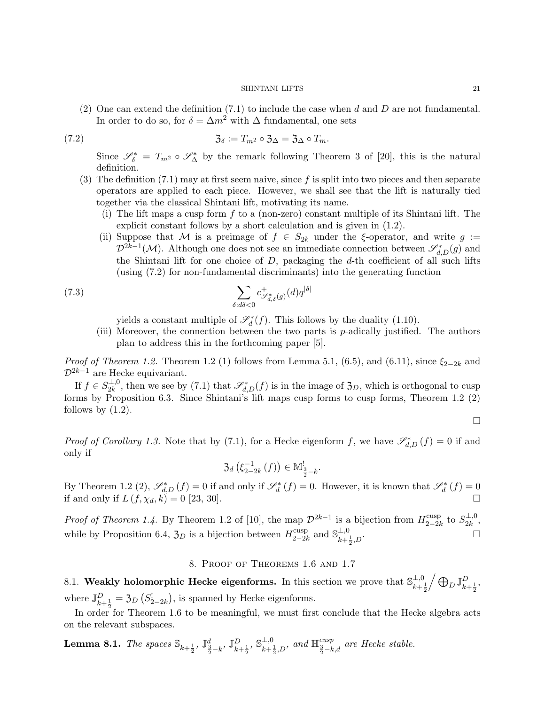(2) One can extend the definition  $(7.1)$  to include the case when d and D are not fundamental. In order to do so, for  $\delta = \Delta m^2$  with  $\Delta$  fundamental, one sets

(7.2) Z<sup>δ</sup> := Tm<sup>2</sup> ◦ Z<sup>∆</sup> = Z<sup>∆</sup> ◦ Tm.

Since  $\mathscr{S}_{\delta}^* = T_{m^2} \circ \mathscr{S}_{\Delta}^*$  by the remark following Theorem 3 of [20], this is the natural definition.

- (3) The definition  $(7.1)$  may at first seem naive, since f is split into two pieces and then separate operators are applied to each piece. However, we shall see that the lift is naturally tied together via the classical Shintani lift, motivating its name.
	- (i) The lift maps a cusp form  $f$  to a (non-zero) constant multiple of its Shintani lift. The explicit constant follows by a short calculation and is given in (1.2).
	- (ii) Suppose that M is a preimage of  $f \in S_{2k}$  under the ξ-operator, and write  $g :=$  $\mathcal{D}^{2k-1}(\mathcal{M})$ . Although one does not see an immediate connection between  $\mathscr{S}^*_{d,D}(g)$  and the Shintani lift for one choice of  $D$ , packaging the  $d$ -th coefficient of all such lifts (using (7.2) for non-fundamental discriminants) into the generating function

(7.3) 
$$
\sum_{\delta: d\delta < 0} c^+_{\mathscr{S}^*_{d,\delta}(g)}(d) q^{|\delta|}
$$

yields a constant multiple of  $\mathscr{S}_d^*(f)$ . This follows by the duality (1.10).

(iii) Moreover, the connection between the two parts is p-adically justified. The authors plan to address this in the forthcoming paper [5].

*Proof of Theorem 1.2.* Theorem 1.2 (1) follows from Lemma 5.1, (6.5), and (6.11), since  $\xi_{2-2k}$  and  $\mathcal{D}^{2k-1}$  are Hecke equivariant.

If  $f \in S_{2k}^{\perp,0}$  $2k^{1,0}_{2k}$ , then we see by (7.1) that  $\mathscr{S}_{d,D}^*(f)$  is in the image of  $\mathfrak{Z}_D$ , which is orthogonal to cusp forms by Proposition 6.3. Since Shintani's lift maps cusp forms to cusp forms, Theorem 1.2 (2) follows by  $(1.2)$ .

 $\Box$ 

*Proof of Corollary 1.3.* Note that by (7.1), for a Hecke eigenform f, we have  $\mathscr{S}^*_{d,D}(f) = 0$  if and only if

> $\mathfrak{Z}_d$   $(\xi_{2-}^{-1}$  $\binom{-1}{2-2k}(f)\in \mathbb{M}_{\frac{3}{2}-k}^!$ .

By Theorem 1.2 (2),  $\mathscr{S}_{d,D}^*(f) = 0$  if and only if  $\mathscr{S}_d^*(f) = 0$ . However, it is known that  $\mathscr{S}_d^*(f) = 0$ if and only if  $L(f, \chi_d, k) = 0$  [23, 30].

*Proof of Theorem 1.4.* By Theorem 1.2 of [10], the map  $\mathcal{D}^{2k-1}$  is a bijection from  $H_{2-2k}^{\text{cusp}}$ <sup>cusp</sup> to  $S_{2k}^{\perp,0}$  $\frac{1}{2k}$ , while by Proposition 6.4,  $\mathfrak{Z}_D$  is a bijection between  $H_{2-2l}^{\text{cusp}}$ <sup>cusp</sup> and  $\mathbb{S}_{k+1}^{\perp,0}$  $k + \frac{1}{2}$  $D$   $\Box$ 

## 8. Proof of Theorems 1.6 and 1.7

8.1. Weakly holomorphic Hecke eigenforms. In this section we prove that  $\mathbb{S}_{\text{L}_1}^{\perp,0}$  $_{k+\frac{1}{2}}^{\perp,0}\Big/\bigoplus_D \mathbb{J}_{k+\frac{1}{2}}^D,$ where  $\mathbb{J}_{k+\frac{1}{2}}^D = \mathfrak{Z}_D(S_{2-2k}^!)$ , is spanned by Hecke eigenforms.

In order for Theorem 1.6 to be meaningful, we must first conclude that the Hecke algebra acts on the relevant subspaces.

**Lemma 8.1.** *The spaces*  $\mathbb{S}_{k+\frac{1}{2}}, \mathbb{J}_{\frac{3}{2}-k}^d, \mathbb{J}_{k+\frac{1}{2}}^D, \mathbb{S}_{k+\frac{1}{2}}^{1,0}$  $\perp^{1,0}$ , and  $\mathbb{H}^{cusp}_{\frac{3}{2}-k,d}$  are Hecke stable.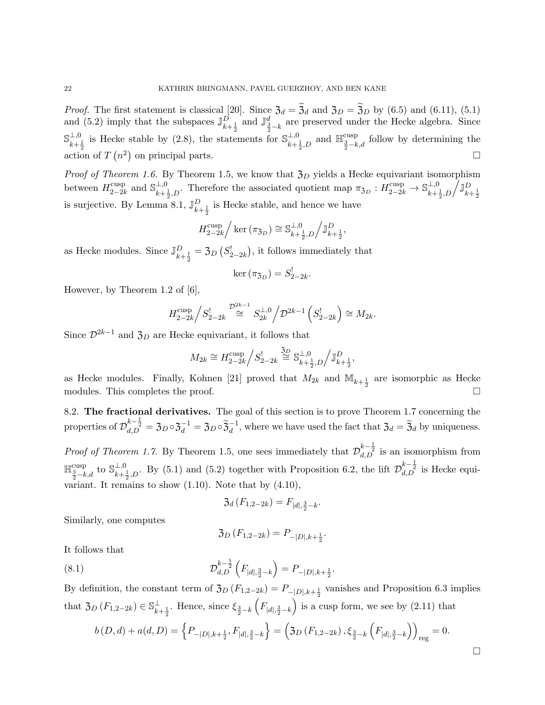*Proof.* The first statement is classical [20]. Since  $\mathfrak{Z}_d = \mathfrak{Z}_d$  and  $\mathfrak{Z}_D = \mathfrak{Z}_D$  by (6.5) and (6.11), (5.1) and (5.2) imply that the subspaces  $\mathbb{J}_{k+\frac{1}{2}}^D$  and  $\mathbb{J}_{\frac{3}{2}-k}^d$  are preserved under the Hecke algebra. Since  $\mathbb{S}^{\perp,0}$  $\frac{\perp, 0}{k+\frac{1}{2}}$  is Hecke stable by (2.8), the statements for  $\mathbb{S}_{k+\frac{1}{2}}^{\perp, 0}$  $\frac{\perp,0}{k+\frac{1}{2},D}$  and  $\mathbb{H}^{\text{cusp}}_{\frac{3}{2}-k,d}$  follow by determining the action of  $T(n^2)$  on principal parts.

*Proof of Theorem 1.6.* By Theorem 1.5, we know that  $\mathfrak{Z}_D$  yields a Hecke equivariant isomorphism between  $H_{2-2l}^{\text{cusp}}$  $_{2-2k}^{\text{cusp}}$  and  $\mathbb{S}_{k+1}^{\perp,0}$  $\frac{\perp,0}{k+\frac{1}{2},D}$ . Therefore the associated quotient map  $\pi_{\mathfrak{Z}_D}: H^{\text{cusp}}_{2-2k} \to \mathbb{S}_{k+\frac{1}{2}}^{\perp,0}$  $\frac{\perp,0}{k+\frac{1}{2},D}\bigg/\mathbb{J}_{k+\frac{1}{2}}^D$ is surjective. By Lemma 8.1,  $\mathbb{J}_{k+\frac{1}{2}}^D$  is Hecke stable, and hence we have

$$
H_{2-2k}^{\text{cusp}}/\ker\left(\pi_{\mathfrak{Z}_D}\right)\cong \mathbb{S}_{k+\frac{1}{2},D}^{\perp,0}/\mathbb{J}_{k+\frac{1}{2}}^D,
$$

as Hecke modules. Since  $\mathbb{J}_{k+\frac{1}{2}}^D = \mathfrak{Z}_D(S_{2-2k}^!)$ , it follows immediately that

$$
\ker\left(\pi_{\mathfrak{Z}_D}\right)=S_{2-2k}^!
$$

.

However, by Theorem 1.2 of [6],

$$
H_{2-2k}^{\text{cusp}}/S_{2-2k}^! \stackrel{\mathcal{D}^{2k-1}}{\cong} S_{2k}^{\perp,0}/\mathcal{D}^{2k-1}\left(S_{2-2k}^! \right) \cong M_{2k}.
$$

Since  $\mathcal{D}^{2k-1}$  and  $\mathfrak{Z}_D$  are Hecke equivariant, it follows that

$$
M_{2k} \cong H_{2-2k}^{\text{cusp}} \Big/ S_{2-2k}^! \stackrel{3D}{\cong} \mathbb{S}_{k+\frac{1}{2},D}^{\perp,0} \Big/ \mathbb{J}_{k+\frac{1}{2}}^D,
$$

as Hecke modules. Finally, Kohnen [21] proved that  $M_{2k}$  and  $\mathbb{M}_{k+\frac{1}{2}}$  are isomorphic as Hecke modules. This completes the proof.

8.2. The fractional derivatives. The goal of this section is to prove Theorem 1.7 concerning the properties of  $\mathcal{D}_{d,D}^{k-\frac{1}{2}} = \mathfrak{Z}_D \circ \mathfrak{Z}_d^{-1} = \mathfrak{Z}_D \circ \widetilde{\mathfrak{Z}}_d^{-1}$ , where we have used the fact that  $\mathfrak{Z}_d = \widetilde{\mathfrak{Z}}_d$  by uniqueness.

*Proof of Theorem 1.7.* By Theorem 1.5, one sees immediately that  $\mathcal{D}_{d,D}^{k-\frac{1}{2}}$  is an isomorphism from  $\mathbb{H}^{\text{cusp}}_{\frac{3}{2}-k,d}$  to  $\mathbb{S}_{k+\frac{1}{2}}^{\perp,0}$  $\perp,0$ , By (5.1) and (5.2) together with Proposition 6.2, the lift  $\mathcal{D}_{d,D}^{k-\frac{1}{2}}$  is Hecke equivariant. It remains to show  $(1.10)$ . Note that by  $(4.10)$ ,

$$
\mathfrak{Z}_d(F_{1,2-2k}) = F_{|d|,\frac{3}{2}-k}.
$$

Similarly, one computes

$$
\mathfrak{Z}_D(F_{1,2-2k}) = P_{-|D|,k+\frac{1}{2}}.
$$

It follows that

(8.1) 
$$
\mathcal{D}_{d,D}^{k-\frac{1}{2}}\left(F_{|d|,\frac{3}{2}-k}\right) = P_{-|D|,k+\frac{1}{2}}.
$$

By definition, the constant term of  $\mathfrak{Z}_D(F_{1,2-2k}) = P_{-|D|,k+\frac{1}{2}}$  vanishes and Proposition 6.3 implies that  $\mathfrak{Z}_D(F_{1,2-2k}) \in \mathbb{S}_{k+\frac{1}{2}}^{\perp}$ . Hence, since  $\xi_{\frac{3}{2}-k}$  $\left(F_{|d|,\frac{3}{2}-k}\right)$ ) is a cusp form, we see by  $(2.11)$  that

$$
b(D,d) + a(d,D) = \left\{ P_{-|D|,k+\frac{1}{2}}, F_{|d|,\frac{3}{2}-k} \right\} = \left( \mathfrak{Z}_D \left( F_{1,2-2k} \right), \xi_{\frac{3}{2}-k} \left( F_{|d|,\frac{3}{2}-k} \right) \right)_{\text{reg}} = 0.
$$

 $\Box$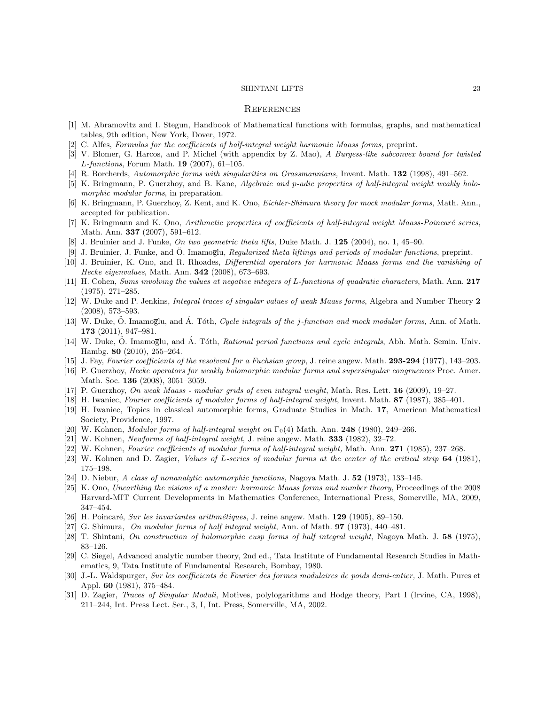#### **REFERENCES**

- [1] M. Abramovitz and I. Stegun, Handbook of Mathematical functions with formulas, graphs, and mathematical tables, 9th edition, New York, Dover, 1972.
- [2] C. Alfes, Formulas for the coefficients of half-integral weight harmonic Maass forms, preprint.
- [3] V. Blomer, G. Harcos, and P. Michel (with appendix by Z. Mao), A Burgess-like subconvex bound for twisted  $L$ -functions, Forum Math. **19** (2007), 61–105.
- [4] R. Borcherds, Automorphic forms with singularities on Grassmannians, Invent. Math. 132 (1998), 491–562.
- [5] K. Bringmann, P. Guerzhoy, and B. Kane, Algebraic and p-adic properties of half-integral weight weakly holomorphic modular forms, in preparation.
- [6] K. Bringmann, P. Guerzhoy, Z. Kent, and K. Ono, Eichler-Shimura theory for mock modular forms, Math. Ann., accepted for publication.
- [7] K. Bringmann and K. Ono, Arithmetic properties of coefficients of half-integral weight Maass-Poincaré series, Math. Ann. 337 (2007), 591–612.
- [8] J. Bruinier and J. Funke, *On two geometric theta lifts*, Duke Math. J. **125** (2004), no. 1, 45–90.
- [9] J. Bruinier, J. Funke, and O. Imamoglu, Regularized theta liftings and periods of modular functions, preprint.
- [10] J. Bruinier, K. Ono, and R. Rhoades, Differential operators for harmonic Maass forms and the vanishing of Hecke eigenvalues, Math. Ann. 342 (2008), 673–693.
- [11] H. Cohen, Sums involving the values at negative integers of L-functions of quadratic characters, Math. Ann. 217 (1975), 271–285.
- [12] W. Duke and P. Jenkins, Integral traces of singular values of weak Maass forms, Algebra and Number Theory 2 (2008), 573–593.
- [13] W. Duke, O. Imamoglu, and A. Tóth, *Cycle integrals of the j-function and mock modular forms*, Ann. of Math. 173 (2011), 947–981.
- [14] W. Duke, Ö. Imamoglu, and Á. Tóth, Rational period functions and cycle integrals, Abh. Math. Semin. Univ. Hambg. 80 (2010), 255–264.
- [15] J. Fay, Fourier coefficients of the resolvent for a Fuchsian group, J. reine angew. Math. **293-294** (1977), 143-203.
- [16] P. Guerzhoy, Hecke operators for weakly holomorphic modular forms and supersingular congruences Proc. Amer. Math. Soc. 136 (2008), 3051–3059.
- [17] P. Guerzhoy, On weak Maass modular grids of even integral weight, Math. Res. Lett. **16** (2009), 19–27.
- [18] H. Iwaniec, Fourier coefficients of modular forms of half-integral weight, Invent. Math. 87 (1987), 385–401.
- [19] H. Iwaniec, Topics in classical automorphic forms, Graduate Studies in Math. 17, American Mathematical Society, Providence, 1997.
- [20] W. Kohnen, Modular forms of half-integral weight on  $\Gamma_0(4)$  Math. Ann. **248** (1980), 249–266.
- [21] W. Kohnen, Newforms of half-integral weight, J. reine angew. Math. 333 (1982), 32–72.
- [22] W. Kohnen, Fourier coefficients of modular forms of half-integral weight, Math. Ann. 271 (1985), 237–268.
- [23] W. Kohnen and D. Zagier, Values of L-series of modular forms at the center of the critical strip 64 (1981), 175–198.
- [24] D. Niebur, A class of nonanalytic automorphic functions, Nagoya Math. J. 52 (1973), 133–145.
- [25] K. Ono, Unearthing the visions of a master: harmonic Maass forms and number theory, Proceedings of the 2008 Harvard-MIT Current Developments in Mathematics Conference, International Press, Somerville, MA, 2009, 347–454.
- [26] H. Poincaré, Sur les invariantes arithmétiques, J. reine angew. Math. 129 (1905), 89–150.
- [27] G. Shimura, On modular forms of half integral weight, Ann. of Math. 97 (1973), 440–481.
- [28] T. Shintani, On construction of holomorphic cusp forms of half integral weight, Nagoya Math. J. 58 (1975), 83–126.
- [29] C. Siegel, Advanced analytic number theory, 2nd ed., Tata Institute of Fundamental Research Studies in Mathematics, 9, Tata Institute of Fundamental Research, Bombay, 1980.
- [30] J.-L. Waldspurger, Sur les coefficients de Fourier des formes modulaires de poids demi-entier, J. Math. Pures et Appl. 60 (1981), 375–484.
- [31] D. Zagier, Traces of Singular Moduli, Motives, polylogarithms and Hodge theory, Part I (Irvine, CA, 1998), 211–244, Int. Press Lect. Ser., 3, I, Int. Press, Somerville, MA, 2002.